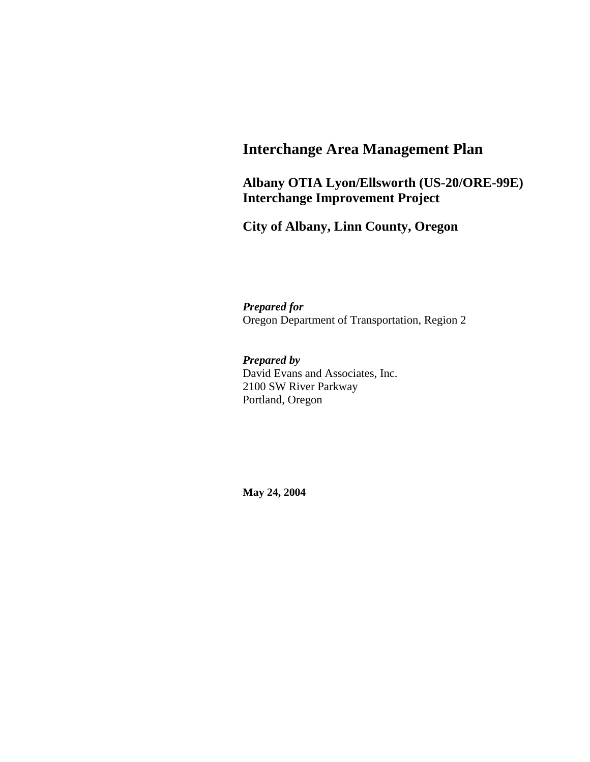# **Interchange Area Management Plan**

#### **Albany OTIA Lyon/Ellsworth (US-20/ORE-99E) Interchange Improvement Project**

**City of Albany, Linn County, Oregon** 

*Prepared for*  Oregon Department of Transportation, Region 2

*Prepared by*  David Evans and Associates, Inc. 2100 SW River Parkway Portland, Oregon

**May 24, 2004**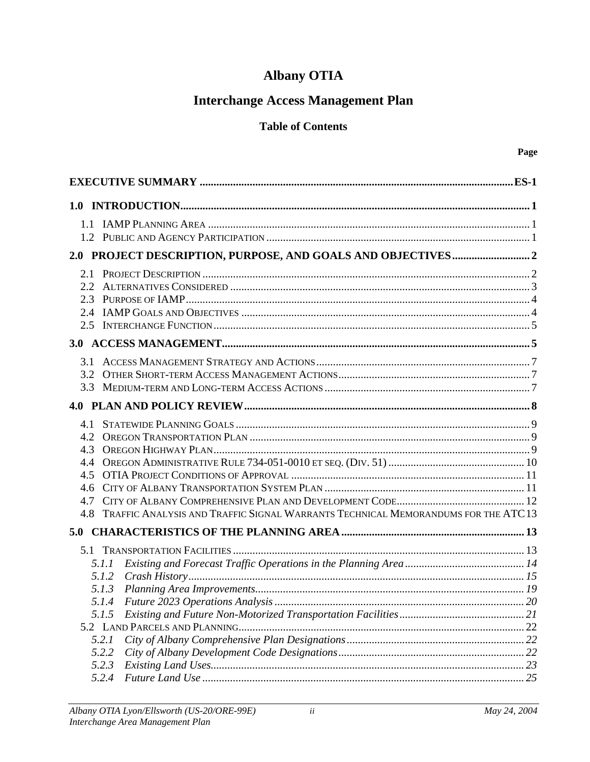# **Albany OTIA**

# **Interchange Access Management Plan**

#### **Table of Contents**

| 2.5                                                                                      |  |
|------------------------------------------------------------------------------------------|--|
|                                                                                          |  |
|                                                                                          |  |
| 3.2                                                                                      |  |
|                                                                                          |  |
|                                                                                          |  |
|                                                                                          |  |
|                                                                                          |  |
| 4.3                                                                                      |  |
| 44                                                                                       |  |
| 45<br>4.6                                                                                |  |
| 4.7                                                                                      |  |
| TRAFFIC ANALYSIS AND TRAFFIC SIGNAL WARRANTS TECHNICAL MEMORANDUMS FOR THE ATC 13<br>4.8 |  |
|                                                                                          |  |
|                                                                                          |  |
|                                                                                          |  |
| 5.1.1                                                                                    |  |
| 5.1.2<br>5.1.3                                                                           |  |
|                                                                                          |  |
| 5.1.5                                                                                    |  |
|                                                                                          |  |
| 5.2.1                                                                                    |  |
| 5.2.2                                                                                    |  |
| 5.2.3                                                                                    |  |
| 5.2.4                                                                                    |  |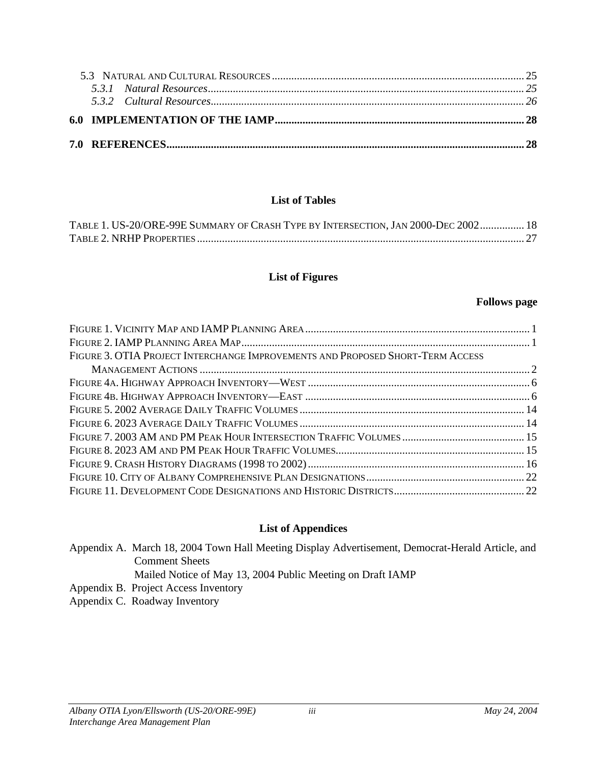#### **List of Tables**

| TABLE 1. US-20/ORE-99E SUMMARY OF CRASH TYPE BY INTERSECTION, JAN 2000-DEC 2002 18 |  |
|------------------------------------------------------------------------------------|--|
|                                                                                    |  |

#### **List of Figures**

#### **Follows page**

| FIGURE 3. OTIA PROJECT INTERCHANGE IMPROVEMENTS AND PROPOSED SHORT-TERM ACCESS |  |
|--------------------------------------------------------------------------------|--|
|                                                                                |  |
|                                                                                |  |
|                                                                                |  |
|                                                                                |  |
|                                                                                |  |
|                                                                                |  |
|                                                                                |  |
|                                                                                |  |
|                                                                                |  |
|                                                                                |  |

# **List of Appendices**

| Appendix A. March 18, 2004 Town Hall Meeting Display Advertisement, Democrat-Herald Article, and |
|--------------------------------------------------------------------------------------------------|
| <b>Comment Sheets</b>                                                                            |
| Mailed Notice of May 13, 2004 Public Meeting on Draft IAMP                                       |

Appendix B. Project Access Inventory

Appendix C. Roadway Inventory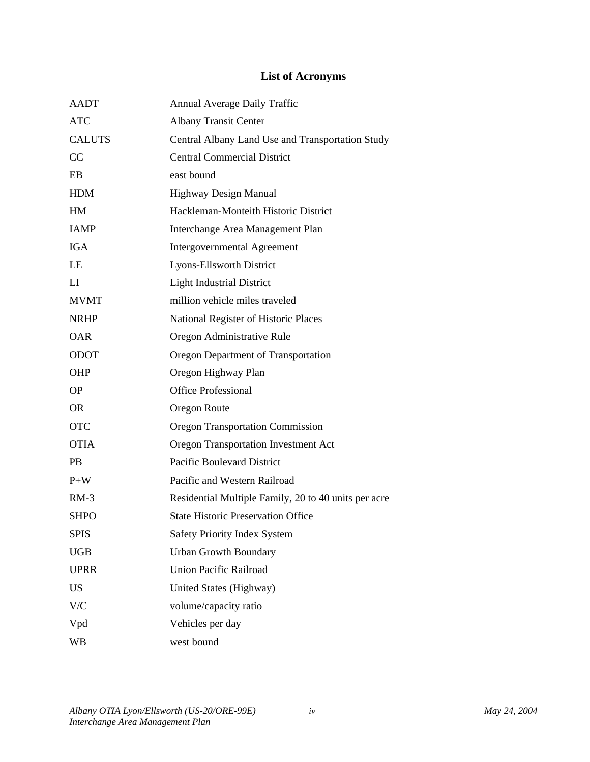## **List of Acronyms**

| <b>AADT</b>   | Annual Average Daily Traffic                         |
|---------------|------------------------------------------------------|
| <b>ATC</b>    | <b>Albany Transit Center</b>                         |
| <b>CALUTS</b> | Central Albany Land Use and Transportation Study     |
| CC            | <b>Central Commercial District</b>                   |
| EB            | east bound                                           |
| <b>HDM</b>    | <b>Highway Design Manual</b>                         |
| HM            | Hackleman-Monteith Historic District                 |
| <b>JAMP</b>   | Interchange Area Management Plan                     |
| <b>IGA</b>    | <b>Intergovernmental Agreement</b>                   |
| LE            | Lyons-Ellsworth District                             |
| LI            | <b>Light Industrial District</b>                     |
| <b>MVMT</b>   | million vehicle miles traveled                       |
| <b>NRHP</b>   | National Register of Historic Places                 |
| <b>OAR</b>    | Oregon Administrative Rule                           |
| <b>ODOT</b>   | Oregon Department of Transportation                  |
| <b>OHP</b>    | Oregon Highway Plan                                  |
| <b>OP</b>     | <b>Office Professional</b>                           |
| <b>OR</b>     | Oregon Route                                         |
| <b>OTC</b>    | <b>Oregon Transportation Commission</b>              |
| <b>OTIA</b>   | Oregon Transportation Investment Act                 |
| <b>PB</b>     | Pacific Boulevard District                           |
| $P+W$         | Pacific and Western Railroad                         |
| $RM-3$        | Residential Multiple Family, 20 to 40 units per acre |
| <b>SHPO</b>   | <b>State Historic Preservation Office</b>            |
| <b>SPIS</b>   | Safety Priority Index System                         |
| <b>UGB</b>    | <b>Urban Growth Boundary</b>                         |
| <b>UPRR</b>   | Union Pacific Railroad                               |
| <b>US</b>     | United States (Highway)                              |
| V/C           | volume/capacity ratio                                |
| Vpd           | Vehicles per day                                     |
| <b>WB</b>     | west bound                                           |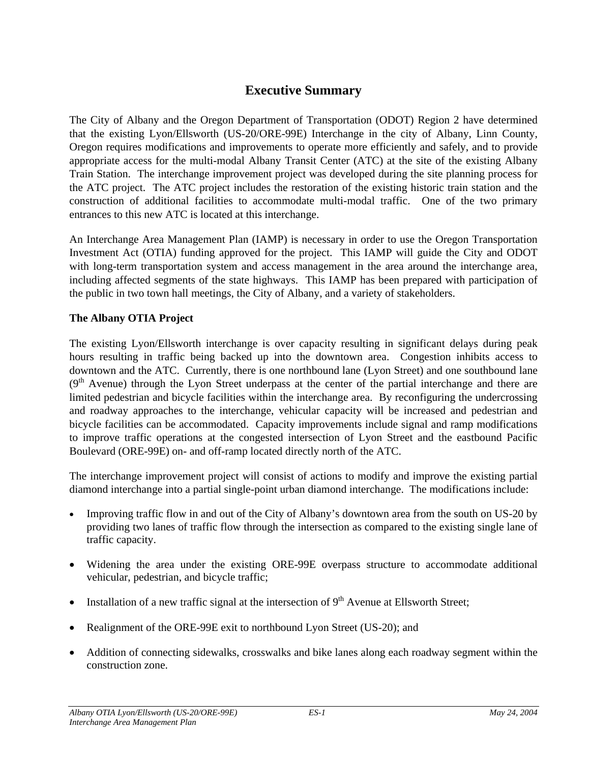## **Executive Summary**

The City of Albany and the Oregon Department of Transportation (ODOT) Region 2 have determined that the existing Lyon/Ellsworth (US-20/ORE-99E) Interchange in the city of Albany, Linn County, Oregon requires modifications and improvements to operate more efficiently and safely, and to provide appropriate access for the multi-modal Albany Transit Center (ATC) at the site of the existing Albany Train Station. The interchange improvement project was developed during the site planning process for the ATC project. The ATC project includes the restoration of the existing historic train station and the construction of additional facilities to accommodate multi-modal traffic. One of the two primary entrances to this new ATC is located at this interchange.

An Interchange Area Management Plan (IAMP) is necessary in order to use the Oregon Transportation Investment Act (OTIA) funding approved for the project. This IAMP will guide the City and ODOT with long-term transportation system and access management in the area around the interchange area, including affected segments of the state highways. This IAMP has been prepared with participation of the public in two town hall meetings, the City of Albany, and a variety of stakeholders.

#### **The Albany OTIA Project**

The existing Lyon/Ellsworth interchange is over capacity resulting in significant delays during peak hours resulting in traffic being backed up into the downtown area. Congestion inhibits access to downtown and the ATC. Currently, there is one northbound lane (Lyon Street) and one southbound lane  $(9<sup>th</sup>$  Avenue) through the Lyon Street underpass at the center of the partial interchange and there are limited pedestrian and bicycle facilities within the interchange area. By reconfiguring the undercrossing and roadway approaches to the interchange, vehicular capacity will be increased and pedestrian and bicycle facilities can be accommodated. Capacity improvements include signal and ramp modifications to improve traffic operations at the congested intersection of Lyon Street and the eastbound Pacific Boulevard (ORE-99E) on- and off-ramp located directly north of the ATC.

The interchange improvement project will consist of actions to modify and improve the existing partial diamond interchange into a partial single-point urban diamond interchange. The modifications include:

- Improving traffic flow in and out of the City of Albany's downtown area from the south on US-20 by providing two lanes of traffic flow through the intersection as compared to the existing single lane of traffic capacity.
- Widening the area under the existing ORE-99E overpass structure to accommodate additional vehicular, pedestrian, and bicycle traffic;
- Installation of a new traffic signal at the intersection of  $9<sup>th</sup>$  Avenue at Ellsworth Street;
- Realignment of the ORE-99E exit to northbound Lyon Street (US-20); and
- Addition of connecting sidewalks, crosswalks and bike lanes along each roadway segment within the construction zone.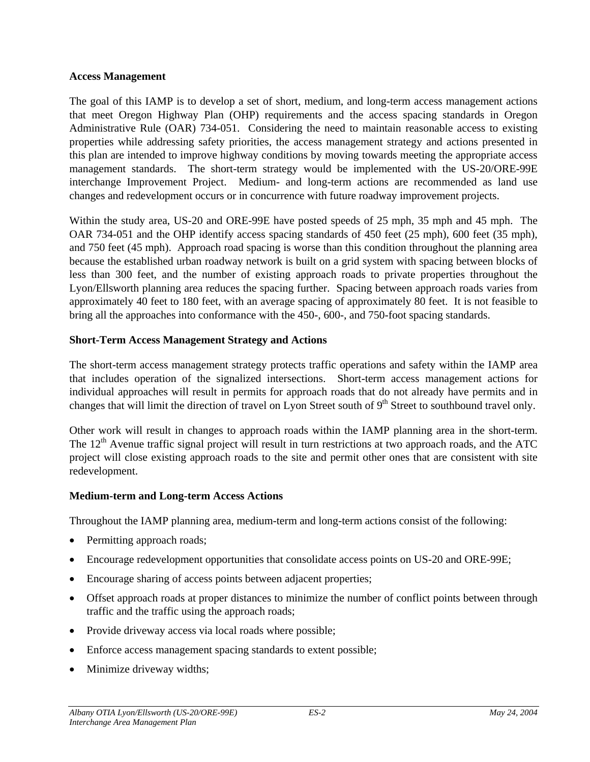#### **Access Management**

The goal of this IAMP is to develop a set of short, medium, and long-term access management actions that meet Oregon Highway Plan (OHP) requirements and the access spacing standards in Oregon Administrative Rule (OAR) 734-051. Considering the need to maintain reasonable access to existing properties while addressing safety priorities, the access management strategy and actions presented in this plan are intended to improve highway conditions by moving towards meeting the appropriate access management standards. The short-term strategy would be implemented with the US-20/ORE-99E interchange Improvement Project. Medium- and long-term actions are recommended as land use changes and redevelopment occurs or in concurrence with future roadway improvement projects.

Within the study area, US-20 and ORE-99E have posted speeds of 25 mph, 35 mph and 45 mph. The OAR 734-051 and the OHP identify access spacing standards of 450 feet (25 mph), 600 feet (35 mph), and 750 feet (45 mph). Approach road spacing is worse than this condition throughout the planning area because the established urban roadway network is built on a grid system with spacing between blocks of less than 300 feet, and the number of existing approach roads to private properties throughout the Lyon/Ellsworth planning area reduces the spacing further. Spacing between approach roads varies from approximately 40 feet to 180 feet, with an average spacing of approximately 80 feet. It is not feasible to bring all the approaches into conformance with the 450-, 600-, and 750-foot spacing standards.

#### **Short-Term Access Management Strategy and Actions**

The short-term access management strategy protects traffic operations and safety within the IAMP area that includes operation of the signalized intersections. Short-term access management actions for individual approaches will result in permits for approach roads that do not already have permits and in changes that will limit the direction of travel on Lyon Street south of  $9<sup>th</sup>$  Street to southbound travel only.

Other work will result in changes to approach roads within the IAMP planning area in the short-term. The  $12<sup>th</sup>$  Avenue traffic signal project will result in turn restrictions at two approach roads, and the ATC project will close existing approach roads to the site and permit other ones that are consistent with site redevelopment.

#### **Medium-term and Long-term Access Actions**

Throughout the IAMP planning area, medium-term and long-term actions consist of the following:

- Permitting approach roads;
- Encourage redevelopment opportunities that consolidate access points on US-20 and ORE-99E;
- Encourage sharing of access points between adjacent properties;
- Offset approach roads at proper distances to minimize the number of conflict points between through traffic and the traffic using the approach roads;
- Provide driveway access via local roads where possible;
- Enforce access management spacing standards to extent possible;
- Minimize driveway widths;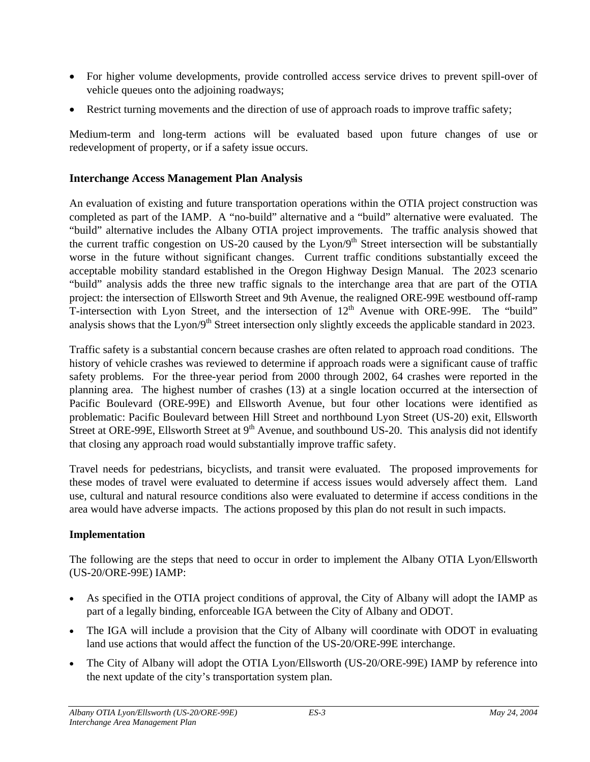- For higher volume developments, provide controlled access service drives to prevent spill-over of vehicle queues onto the adjoining roadways;
- Restrict turning movements and the direction of use of approach roads to improve traffic safety;

Medium-term and long-term actions will be evaluated based upon future changes of use or redevelopment of property, or if a safety issue occurs.

#### **Interchange Access Management Plan Analysis**

An evaluation of existing and future transportation operations within the OTIA project construction was completed as part of the IAMP. A "no-build" alternative and a "build" alternative were evaluated. The "build" alternative includes the Albany OTIA project improvements. The traffic analysis showed that the current traffic congestion on US-20 caused by the  $Lyon/9<sup>th</sup>$  Street intersection will be substantially worse in the future without significant changes. Current traffic conditions substantially exceed the acceptable mobility standard established in the Oregon Highway Design Manual. The 2023 scenario "build" analysis adds the three new traffic signals to the interchange area that are part of the OTIA project: the intersection of Ellsworth Street and 9th Avenue, the realigned ORE-99E westbound off-ramp T-intersection with Lyon Street, and the intersection of  $12<sup>th</sup>$  Avenue with ORE-99E. The "build" analysis shows that the Lyon/9<sup>th</sup> Street intersection only slightly exceeds the applicable standard in 2023.

Traffic safety is a substantial concern because crashes are often related to approach road conditions. The history of vehicle crashes was reviewed to determine if approach roads were a significant cause of traffic safety problems. For the three-year period from 2000 through 2002, 64 crashes were reported in the planning area. The highest number of crashes (13) at a single location occurred at the intersection of Pacific Boulevard (ORE-99E) and Ellsworth Avenue, but four other locations were identified as problematic: Pacific Boulevard between Hill Street and northbound Lyon Street (US-20) exit, Ellsworth Street at ORE-99E, Ellsworth Street at 9<sup>th</sup> Avenue, and southbound US-20. This analysis did not identify that closing any approach road would substantially improve traffic safety.

Travel needs for pedestrians, bicyclists, and transit were evaluated. The proposed improvements for these modes of travel were evaluated to determine if access issues would adversely affect them. Land use, cultural and natural resource conditions also were evaluated to determine if access conditions in the area would have adverse impacts. The actions proposed by this plan do not result in such impacts.

#### **Implementation**

The following are the steps that need to occur in order to implement the Albany OTIA Lyon/Ellsworth (US-20/ORE-99E) IAMP:

- As specified in the OTIA project conditions of approval, the City of Albany will adopt the IAMP as part of a legally binding, enforceable IGA between the City of Albany and ODOT.
- The IGA will include a provision that the City of Albany will coordinate with ODOT in evaluating land use actions that would affect the function of the US-20/ORE-99E interchange.
- The City of Albany will adopt the OTIA Lyon/Ellsworth (US-20/ORE-99E) IAMP by reference into the next update of the city's transportation system plan.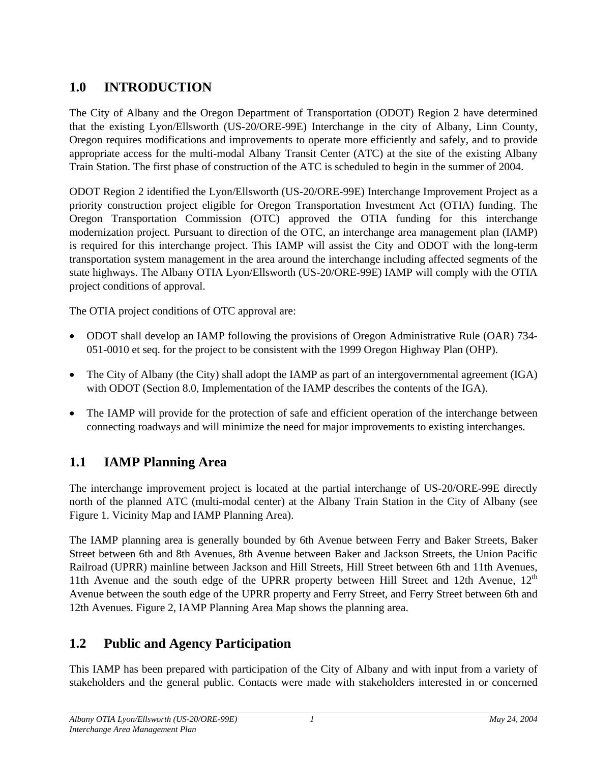# <span id="page-7-0"></span>**1.0 INTRODUCTION**

The City of Albany and the Oregon Department of Transportation (ODOT) Region 2 have determined that the existing Lyon/Ellsworth (US-20/ORE-99E) Interchange in the city of Albany, Linn County, Oregon requires modifications and improvements to operate more efficiently and safely, and to provide appropriate access for the multi-modal Albany Transit Center (ATC) at the site of the existing Albany Train Station. The first phase of construction of the ATC is scheduled to begin in the summer of 2004.

ODOT Region 2 identified the Lyon/Ellsworth (US-20/ORE-99E) Interchange Improvement Project as a priority construction project eligible for Oregon Transportation Investment Act (OTIA) funding. The Oregon Transportation Commission (OTC) approved the OTIA funding for this interchange modernization project. Pursuant to direction of the OTC, an interchange area management plan (IAMP) is required for this interchange project. This IAMP will assist the City and ODOT with the long-term transportation system management in the area around the interchange including affected segments of the state highways. The Albany OTIA Lyon/Ellsworth (US-20/ORE-99E) IAMP will comply with the OTIA project conditions of approval.

The OTIA project conditions of OTC approval are:

- ODOT shall develop an IAMP following the provisions of Oregon Administrative Rule (OAR) 734- 051-0010 et seq. for the project to be consistent with the 1999 Oregon Highway Plan (OHP).
- The City of Albany (the City) shall adopt the IAMP as part of an intergovernmental agreement (IGA) with ODOT (Section 8.0, Implementation of the IAMP describes the contents of the IGA).
- The IAMP will provide for the protection of safe and efficient operation of the interchange between connecting roadways and will minimize the need for major improvements to existing interchanges.

# **1.1 IAMP Planning Area**

The interchange improvement project is located at the partial interchange of US-20/ORE-99E directly north of the planned ATC (multi-modal center) at the Albany Train Station in the City of Albany (see Figure 1. Vicinity Map and IAMP Planning Area).

The IAMP planning area is generally bounded by 6th Avenue between Ferry and Baker Streets, Baker Street between 6th and 8th Avenues, 8th Avenue between Baker and Jackson Streets, the Union Pacific Railroad (UPRR) mainline between Jackson and Hill Streets, Hill Street between 6th and 11th Avenues, 11th Avenue and the south edge of the UPRR property between Hill Street and 12th Avenue,  $12<sup>th</sup>$ Avenue between the south edge of the UPRR property and Ferry Street, and Ferry Street between 6th and 12th Avenues. Figure 2, IAMP Planning Area Map shows the planning area.

# **1.2 Public and Agency Participation**

This IAMP has been prepared with participation of the City of Albany and with input from a variety of stakeholders and the general public. Contacts were made with stakeholders interested in or concerned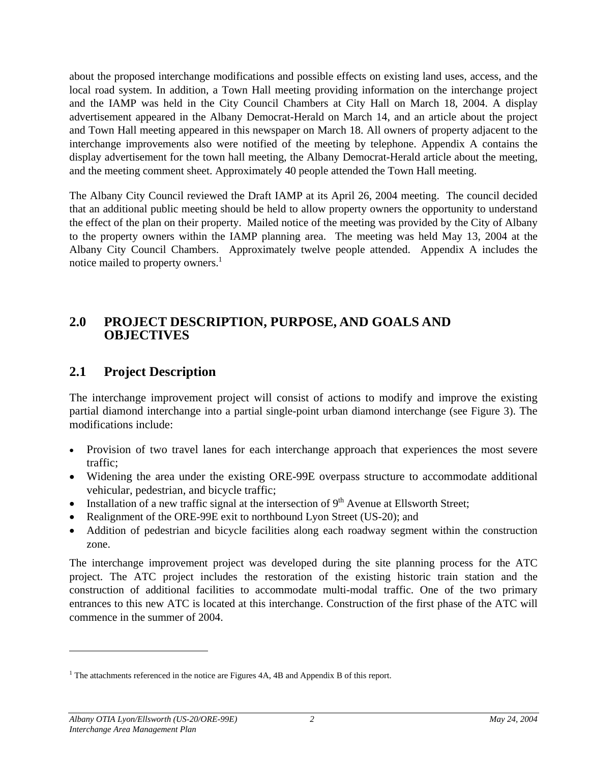<span id="page-8-0"></span>about the proposed interchange modifications and possible effects on existing land uses, access, and the local road system. In addition, a Town Hall meeting providing information on the interchange project and the IAMP was held in the City Council Chambers at City Hall on March 18, 2004. A display advertisement appeared in the Albany Democrat-Herald on March 14, and an article about the project and Town Hall meeting appeared in this newspaper on March 18. All owners of property adjacent to the interchange improvements also were notified of the meeting by telephone. Appendix A contains the display advertisement for the town hall meeting, the Albany Democrat-Herald article about the meeting, and the meeting comment sheet. Approximately 40 people attended the Town Hall meeting.

The Albany City Council reviewed the Draft IAMP at its April 26, 2004 meeting. The council decided that an additional public meeting should be held to allow property owners the opportunity to understand the effect of the plan on their property. Mailed notice of the meeting was provided by the City of Albany to the property owners within the IAMP planning area. The meeting was held May 13, 2004 at the Albany City Council Chambers. Approximately twelve people attended. Appendix A includes the notice mailed to property owners.<sup>[1](#page-8-1)</sup>

#### **2.0 PROJECT DESCRIPTION, PURPOSE, AND GOALS AND OBJECTIVES**

## **2.1 Project Description**

The interchange improvement project will consist of actions to modify and improve the existing partial diamond interchange into a partial single-point urban diamond interchange (see Figure 3). The modifications include:

- Provision of two travel lanes for each interchange approach that experiences the most severe traffic;
- Widening the area under the existing ORE-99E overpass structure to accommodate additional vehicular, pedestrian, and bicycle traffic;
- Installation of a new traffic signal at the intersection of  $9<sup>th</sup>$  Avenue at Ellsworth Street;
- Realignment of the ORE-99E exit to northbound Lyon Street (US-20); and
- Addition of pedestrian and bicycle facilities along each roadway segment within the construction zone.

The interchange improvement project was developed during the site planning process for the ATC project. The ATC project includes the restoration of the existing historic train station and the construction of additional facilities to accommodate multi-modal traffic. One of the two primary entrances to this new ATC is located at this interchange. Construction of the first phase of the ATC will commence in the summer of 2004.

-

<span id="page-8-1"></span><sup>&</sup>lt;sup>1</sup> The attachments referenced in the notice are Figures  $4A$ ,  $4B$  and Appendix B of this report.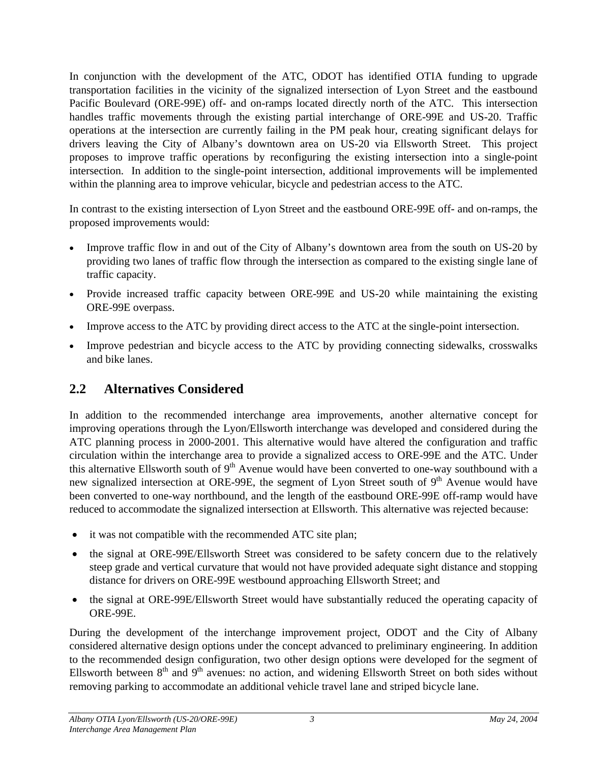<span id="page-9-0"></span>In conjunction with the development of the ATC, ODOT has identified OTIA funding to upgrade transportation facilities in the vicinity of the signalized intersection of Lyon Street and the eastbound Pacific Boulevard (ORE-99E) off- and on-ramps located directly north of the ATC. This intersection handles traffic movements through the existing partial interchange of ORE-99E and US-20. Traffic operations at the intersection are currently failing in the PM peak hour, creating significant delays for drivers leaving the City of Albany's downtown area on US-20 via Ellsworth Street. This project proposes to improve traffic operations by reconfiguring the existing intersection into a single-point intersection. In addition to the single-point intersection, additional improvements will be implemented within the planning area to improve vehicular, bicycle and pedestrian access to the ATC.

In contrast to the existing intersection of Lyon Street and the eastbound ORE-99E off- and on-ramps, the proposed improvements would:

- Improve traffic flow in and out of the City of Albany's downtown area from the south on US-20 by providing two lanes of traffic flow through the intersection as compared to the existing single lane of traffic capacity.
- Provide increased traffic capacity between ORE-99E and US-20 while maintaining the existing ORE-99E overpass.
- Improve access to the ATC by providing direct access to the ATC at the single-point intersection.
- Improve pedestrian and bicycle access to the ATC by providing connecting sidewalks, crosswalks and bike lanes.

# **2.2 Alternatives Considered**

In addition to the recommended interchange area improvements, another alternative concept for improving operations through the Lyon/Ellsworth interchange was developed and considered during the ATC planning process in 2000-2001. This alternative would have altered the configuration and traffic circulation within the interchange area to provide a signalized access to ORE-99E and the ATC. Under this alternative Ellsworth south of  $9<sup>th</sup>$  Avenue would have been converted to one-way southbound with a new signalized intersection at ORE-99E, the segment of Lyon Street south of  $9<sup>th</sup>$  Avenue would have been converted to one-way northbound, and the length of the eastbound ORE-99E off-ramp would have reduced to accommodate the signalized intersection at Ellsworth. This alternative was rejected because:

- it was not compatible with the recommended ATC site plan;
- the signal at ORE-99E/Ellsworth Street was considered to be safety concern due to the relatively steep grade and vertical curvature that would not have provided adequate sight distance and stopping distance for drivers on ORE-99E westbound approaching Ellsworth Street; and
- the signal at ORE-99E/Ellsworth Street would have substantially reduced the operating capacity of ORE-99E.

During the development of the interchange improvement project, ODOT and the City of Albany considered alternative design options under the concept advanced to preliminary engineering. In addition to the recommended design configuration, two other design options were developed for the segment of Ellsworth between 8<sup>th</sup> and 9<sup>th</sup> avenues: no action, and widening Ellsworth Street on both sides without removing parking to accommodate an additional vehicle travel lane and striped bicycle lane.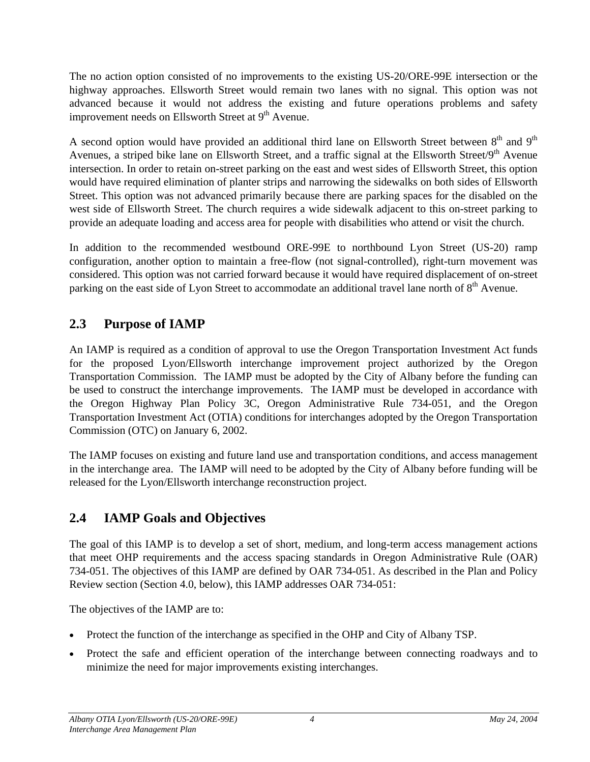<span id="page-10-0"></span>The no action option consisted of no improvements to the existing US-20/ORE-99E intersection or the highway approaches. Ellsworth Street would remain two lanes with no signal. This option was not advanced because it would not address the existing and future operations problems and safety improvement needs on Ellsworth Street at 9<sup>th</sup> Avenue.

A second option would have provided an additional third lane on Ellsworth Street between  $8<sup>th</sup>$  and  $9<sup>th</sup>$ Avenues, a striped bike lane on Ellsworth Street, and a traffic signal at the Ellsworth Street/9<sup>th</sup> Avenue intersection. In order to retain on-street parking on the east and west sides of Ellsworth Street, this option would have required elimination of planter strips and narrowing the sidewalks on both sides of Ellsworth Street. This option was not advanced primarily because there are parking spaces for the disabled on the west side of Ellsworth Street. The church requires a wide sidewalk adjacent to this on-street parking to provide an adequate loading and access area for people with disabilities who attend or visit the church.

In addition to the recommended westbound ORE-99E to northbound Lyon Street (US-20) ramp configuration, another option to maintain a free-flow (not signal-controlled), right-turn movement was considered. This option was not carried forward because it would have required displacement of on-street parking on the east side of Lyon Street to accommodate an additional travel lane north of 8<sup>th</sup> Avenue.

# **2.3 Purpose of IAMP**

An IAMP is required as a condition of approval to use the Oregon Transportation Investment Act funds for the proposed Lyon/Ellsworth interchange improvement project authorized by the Oregon Transportation Commission. The IAMP must be adopted by the City of Albany before the funding can be used to construct the interchange improvements. The IAMP must be developed in accordance with the Oregon Highway Plan Policy 3C, Oregon Administrative Rule 734-051, and the Oregon Transportation Investment Act (OTIA) conditions for interchanges adopted by the Oregon Transportation Commission (OTC) on January 6, 2002.

The IAMP focuses on existing and future land use and transportation conditions, and access management in the interchange area. The IAMP will need to be adopted by the City of Albany before funding will be released for the Lyon/Ellsworth interchange reconstruction project.

# **2.4 IAMP Goals and Objectives**

The goal of this IAMP is to develop a set of short, medium, and long-term access management actions that meet OHP requirements and the access spacing standards in Oregon Administrative Rule (OAR) 734-051. The objectives of this IAMP are defined by OAR 734-051. As described in the Plan and Policy Review section (Section 4.0, below), this IAMP addresses OAR 734-051:

The objectives of the IAMP are to:

- Protect the function of the interchange as specified in the OHP and City of Albany TSP.
- Protect the safe and efficient operation of the interchange between connecting roadways and to minimize the need for major improvements existing interchanges.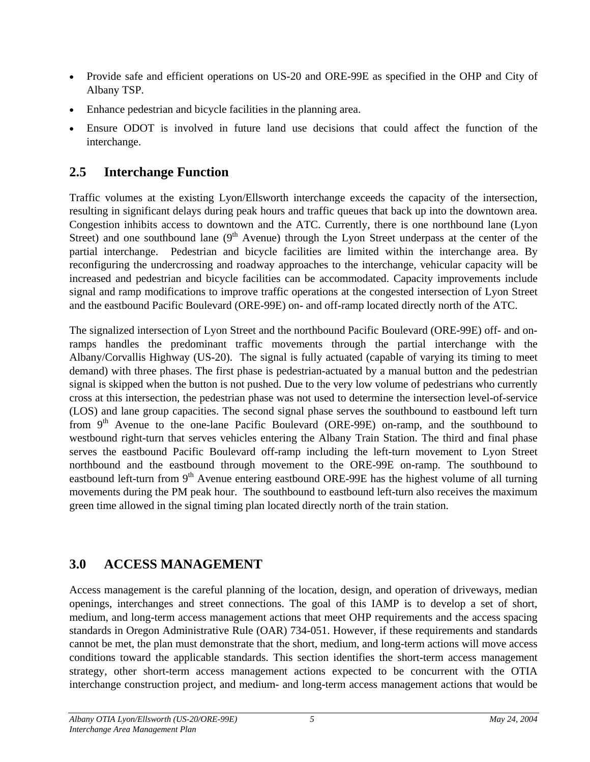- <span id="page-11-0"></span>• Provide safe and efficient operations on US-20 and ORE-99E as specified in the OHP and City of Albany TSP.
- Enhance pedestrian and bicycle facilities in the planning area.
- Ensure ODOT is involved in future land use decisions that could affect the function of the interchange.

# **2.5 Interchange Function**

Traffic volumes at the existing Lyon/Ellsworth interchange exceeds the capacity of the intersection, resulting in significant delays during peak hours and traffic queues that back up into the downtown area. Congestion inhibits access to downtown and the ATC. Currently, there is one northbound lane (Lyon Street) and one southbound lane  $(9<sup>th</sup>$  Avenue) through the Lyon Street underpass at the center of the partial interchange. Pedestrian and bicycle facilities are limited within the interchange area. By reconfiguring the undercrossing and roadway approaches to the interchange, vehicular capacity will be increased and pedestrian and bicycle facilities can be accommodated. Capacity improvements include signal and ramp modifications to improve traffic operations at the congested intersection of Lyon Street and the eastbound Pacific Boulevard (ORE-99E) on- and off-ramp located directly north of the ATC.

The signalized intersection of Lyon Street and the northbound Pacific Boulevard (ORE-99E) off- and onramps handles the predominant traffic movements through the partial interchange with the Albany/Corvallis Highway (US-20). The signal is fully actuated (capable of varying its timing to meet demand) with three phases. The first phase is pedestrian-actuated by a manual button and the pedestrian signal is skipped when the button is not pushed. Due to the very low volume of pedestrians who currently cross at this intersection, the pedestrian phase was not used to determine the intersection level-of-service (LOS) and lane group capacities. The second signal phase serves the southbound to eastbound left turn from  $9<sup>th</sup>$  Avenue to the one-lane Pacific Boulevard (ORE-99E) on-ramp, and the southbound to westbound right-turn that serves vehicles entering the Albany Train Station. The third and final phase serves the eastbound Pacific Boulevard off-ramp including the left-turn movement to Lyon Street northbound and the eastbound through movement to the ORE-99E on-ramp. The southbound to eastbound left-turn from 9<sup>th</sup> Avenue entering eastbound ORE-99E has the highest volume of all turning movements during the PM peak hour. The southbound to eastbound left-turn also receives the maximum green time allowed in the signal timing plan located directly north of the train station.

# **3.0 ACCESS MANAGEMENT**

Access management is the careful planning of the location, design, and operation of driveways, median openings, interchanges and street connections. The goal of this IAMP is to develop a set of short, medium, and long-term access management actions that meet OHP requirements and the access spacing standards in Oregon Administrative Rule (OAR) 734-051. However, if these requirements and standards cannot be met, the plan must demonstrate that the short, medium, and long-term actions will move access conditions toward the applicable standards. This section identifies the short-term access management strategy, other short-term access management actions expected to be concurrent with the OTIA interchange construction project, and medium- and long-term access management actions that would be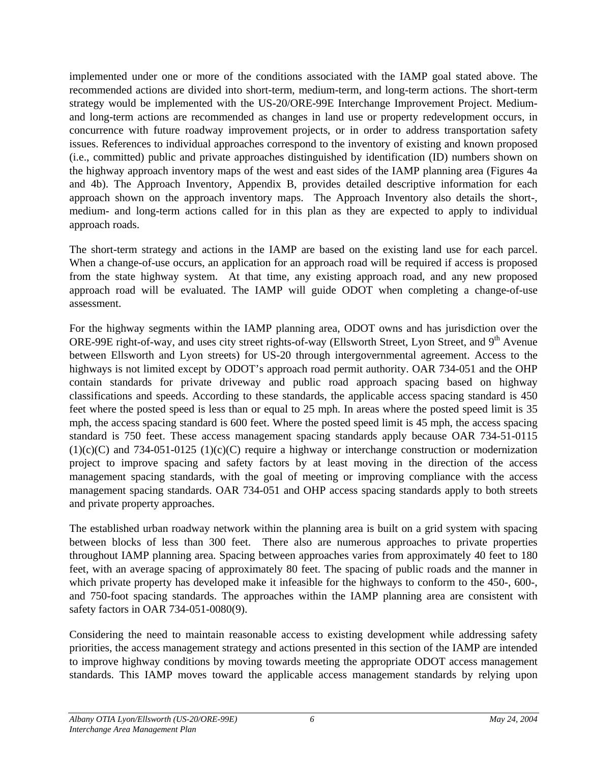<span id="page-12-0"></span>implemented under one or more of the conditions associated with the IAMP goal stated above. The recommended actions are divided into short-term, medium-term, and long-term actions. The short-term strategy would be implemented with the US-20/ORE-99E Interchange Improvement Project. Mediumand long-term actions are recommended as changes in land use or property redevelopment occurs, in concurrence with future roadway improvement projects, or in order to address transportation safety issues. References to individual approaches correspond to the inventory of existing and known proposed (i.e., committed) public and private approaches distinguished by identification (ID) numbers shown on the highway approach inventory maps of the west and east sides of the IAMP planning area (Figures 4a and 4b). The Approach Inventory, Appendix B, provides detailed descriptive information for each approach shown on the approach inventory maps. The Approach Inventory also details the short-, medium- and long-term actions called for in this plan as they are expected to apply to individual approach roads.

The short-term strategy and actions in the IAMP are based on the existing land use for each parcel. When a change-of-use occurs, an application for an approach road will be required if access is proposed from the state highway system. At that time, any existing approach road, and any new proposed approach road will be evaluated. The IAMP will guide ODOT when completing a change-of-use assessment.

For the highway segments within the IAMP planning area, ODOT owns and has jurisdiction over the ORE-99E right-of-way, and uses city street rights-of-way (Ellsworth Street, Lyon Street, and 9<sup>th</sup> Avenue between Ellsworth and Lyon streets) for US-20 through intergovernmental agreement. Access to the highways is not limited except by ODOT's approach road permit authority. OAR 734-051 and the OHP contain standards for private driveway and public road approach spacing based on highway classifications and speeds. According to these standards, the applicable access spacing standard is 450 feet where the posted speed is less than or equal to 25 mph. In areas where the posted speed limit is 35 mph, the access spacing standard is 600 feet. Where the posted speed limit is 45 mph, the access spacing standard is 750 feet. These access management spacing standards apply because OAR 734-51-0115  $(1)(c)(C)$  and 734-051-0125  $(1)(c)(C)$  require a highway or interchange construction or modernization project to improve spacing and safety factors by at least moving in the direction of the access management spacing standards, with the goal of meeting or improving compliance with the access management spacing standards. OAR 734-051 and OHP access spacing standards apply to both streets and private property approaches.

The established urban roadway network within the planning area is built on a grid system with spacing between blocks of less than 300 feet. There also are numerous approaches to private properties throughout IAMP planning area. Spacing between approaches varies from approximately 40 feet to 180 feet, with an average spacing of approximately 80 feet. The spacing of public roads and the manner in which private property has developed make it infeasible for the highways to conform to the 450-, 600-, and 750-foot spacing standards. The approaches within the IAMP planning area are consistent with safety factors in OAR 734-051-0080(9).

Considering the need to maintain reasonable access to existing development while addressing safety priorities, the access management strategy and actions presented in this section of the IAMP are intended to improve highway conditions by moving towards meeting the appropriate ODOT access management standards. This IAMP moves toward the applicable access management standards by relying upon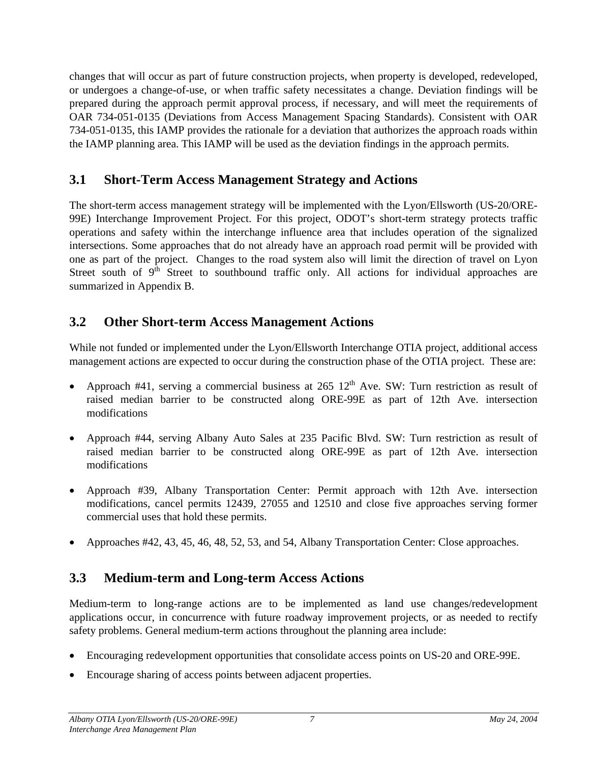<span id="page-13-0"></span>changes that will occur as part of future construction projects, when property is developed, redeveloped, or undergoes a change-of-use, or when traffic safety necessitates a change. Deviation findings will be prepared during the approach permit approval process, if necessary, and will meet the requirements of OAR 734-051-0135 (Deviations from Access Management Spacing Standards). Consistent with OAR 734-051-0135, this IAMP provides the rationale for a deviation that authorizes the approach roads within the IAMP planning area. This IAMP will be used as the deviation findings in the approach permits.

## **3.1 Short-Term Access Management Strategy and Actions**

The short-term access management strategy will be implemented with the Lyon/Ellsworth (US-20/ORE-99E) Interchange Improvement Project. For this project, ODOT's short-term strategy protects traffic operations and safety within the interchange influence area that includes operation of the signalized intersections. Some approaches that do not already have an approach road permit will be provided with one as part of the project. Changes to the road system also will limit the direction of travel on Lyon Street south of  $9<sup>th</sup>$  Street to southbound traffic only. All actions for individual approaches are summarized in Appendix B.

# **3.2 Other Short-term Access Management Actions**

While not funded or implemented under the Lyon/Ellsworth Interchange OTIA project, additional access management actions are expected to occur during the construction phase of the OTIA project. These are:

- Approach #41, serving a commercial business at  $265 \frac{12^{th}}{3}$  Ave. SW: Turn restriction as result of raised median barrier to be constructed along ORE-99E as part of 12th Ave. intersection modifications •
- Approach #44, serving Albany Auto Sales at 235 Pacific Blvd. SW: Turn restriction as result of raised median barrier to be constructed along ORE-99E as part of 12th Ave. intersection modifications
- Approach #39, Albany Transportation Center: Permit approach with 12th Ave. intersection modifications, cancel permits 12439, 27055 and 12510 and close five approaches serving former commercial uses that hold these permits.
- Approaches #42, 43, 45, 46, 48, 52, 53, and 54, Albany Transportation Center: Close approaches.

# **3.3 Medium-term and Long-term Access Actions**

Medium-term to long-range actions are to be implemented as land use changes/redevelopment applications occur, in concurrence with future roadway improvement projects, or as needed to rectify safety problems. General medium-term actions throughout the planning area include:

- Encouraging redevelopment opportunities that consolidate access points on US-20 and ORE-99E.
- Encourage sharing of access points between adjacent properties.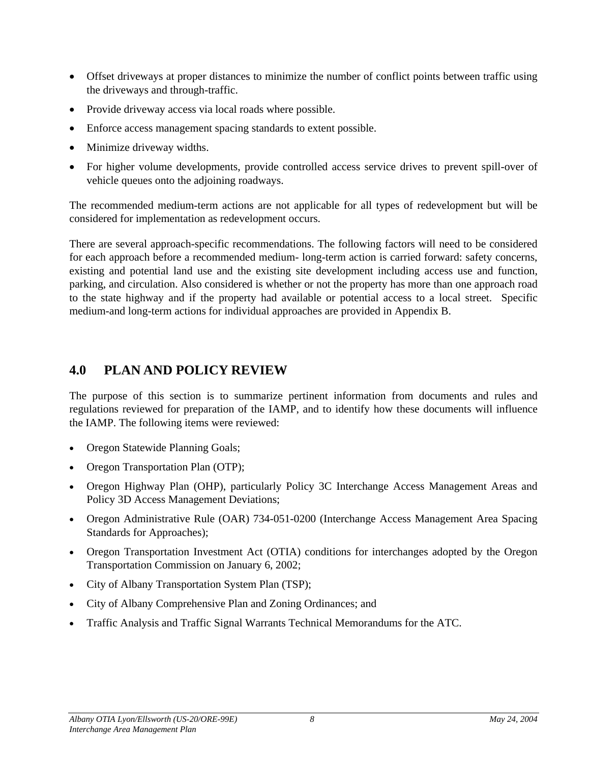- <span id="page-14-0"></span>• Offset driveways at proper distances to minimize the number of conflict points between traffic using the driveways and through-traffic.
- Provide driveway access via local roads where possible.
- Enforce access management spacing standards to extent possible.
- Minimize driveway widths.
- For higher volume developments, provide controlled access service drives to prevent spill-over of vehicle queues onto the adjoining roadways.

The recommended medium-term actions are not applicable for all types of redevelopment but will be considered for implementation as redevelopment occurs.

There are several approach-specific recommendations. The following factors will need to be considered for each approach before a recommended medium- long-term action is carried forward: safety concerns, existing and potential land use and the existing site development including access use and function, parking, and circulation. Also considered is whether or not the property has more than one approach road to the state highway and if the property had available or potential access to a local street. Specific medium-and long-term actions for individual approaches are provided in Appendix B.

## **4.0 PLAN AND POLICY REVIEW**

The purpose of this section is to summarize pertinent information from documents and rules and regulations reviewed for preparation of the IAMP, and to identify how these documents will influence the IAMP. The following items were reviewed:

- Oregon Statewide Planning Goals;
- Oregon Transportation Plan (OTP);
- Oregon Highway Plan (OHP), particularly Policy 3C Interchange Access Management Areas and Policy 3D Access Management Deviations;
- Oregon Administrative Rule (OAR) 734-051-0200 (Interchange Access Management Area Spacing Standards for Approaches);
- Oregon Transportation Investment Act (OTIA) conditions for interchanges adopted by the Oregon Transportation Commission on January 6, 2002;
- City of Albany Transportation System Plan (TSP);
- City of Albany Comprehensive Plan and Zoning Ordinances; and
- Traffic Analysis and Traffic Signal Warrants Technical Memorandums for the ATC.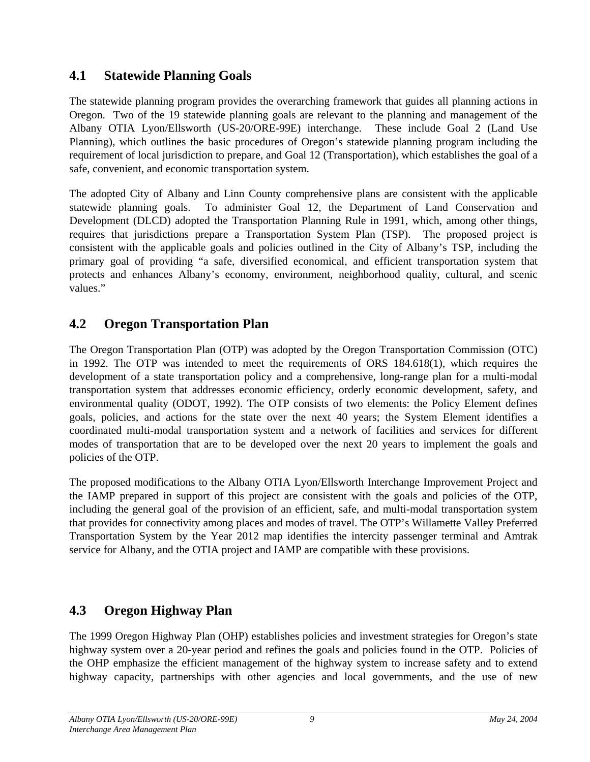# <span id="page-15-0"></span>**4.1 Statewide Planning Goals**

The statewide planning program provides the overarching framework that guides all planning actions in Oregon. Two of the 19 statewide planning goals are relevant to the planning and management of the Albany OTIA Lyon/Ellsworth (US-20/ORE-99E) interchange. These include Goal 2 (Land Use Planning), which outlines the basic procedures of Oregon's statewide planning program including the requirement of local jurisdiction to prepare, and Goal 12 (Transportation), which establishes the goal of a safe, convenient, and economic transportation system.

The adopted City of Albany and Linn County comprehensive plans are consistent with the applicable statewide planning goals. To administer Goal 12, the Department of Land Conservation and Development (DLCD) adopted the Transportation Planning Rule in 1991, which, among other things, requires that jurisdictions prepare a Transportation System Plan (TSP). The proposed project is consistent with the applicable goals and policies outlined in the City of Albany's TSP, including the primary goal of providing "a safe, diversified economical, and efficient transportation system that protects and enhances Albany's economy, environment, neighborhood quality, cultural, and scenic values."

# **4.2 Oregon Transportation Plan**

The Oregon Transportation Plan (OTP) was adopted by the Oregon Transportation Commission (OTC) in 1992. The OTP was intended to meet the requirements of ORS 184.618(1), which requires the development of a state transportation policy and a comprehensive, long-range plan for a multi-modal transportation system that addresses economic efficiency, orderly economic development, safety, and environmental quality (ODOT, 1992). The OTP consists of two elements: the Policy Element defines goals, policies, and actions for the state over the next 40 years; the System Element identifies a coordinated multi-modal transportation system and a network of facilities and services for different modes of transportation that are to be developed over the next 20 years to implement the goals and policies of the OTP.

The proposed modifications to the Albany OTIA Lyon/Ellsworth Interchange Improvement Project and the IAMP prepared in support of this project are consistent with the goals and policies of the OTP, including the general goal of the provision of an efficient, safe, and multi-modal transportation system that provides for connectivity among places and modes of travel. The OTP's Willamette Valley Preferred Transportation System by the Year 2012 map identifies the intercity passenger terminal and Amtrak service for Albany, and the OTIA project and IAMP are compatible with these provisions.

# **4.3 Oregon Highway Plan**

The 1999 Oregon Highway Plan (OHP) establishes policies and investment strategies for Oregon's state highway system over a 20-year period and refines the goals and policies found in the OTP. Policies of the OHP emphasize the efficient management of the highway system to increase safety and to extend highway capacity, partnerships with other agencies and local governments, and the use of new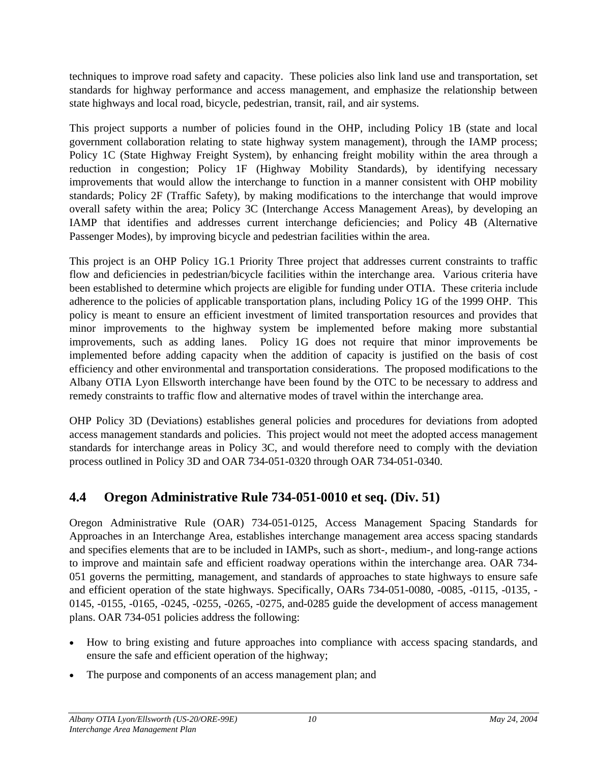<span id="page-16-0"></span>techniques to improve road safety and capacity. These policies also link land use and transportation, set standards for highway performance and access management, and emphasize the relationship between state highways and local road, bicycle, pedestrian, transit, rail, and air systems.

This project supports a number of policies found in the OHP, including Policy 1B (state and local government collaboration relating to state highway system management), through the IAMP process; Policy 1C (State Highway Freight System), by enhancing freight mobility within the area through a reduction in congestion; Policy 1F (Highway Mobility Standards), by identifying necessary improvements that would allow the interchange to function in a manner consistent with OHP mobility standards; Policy 2F (Traffic Safety), by making modifications to the interchange that would improve overall safety within the area; Policy 3C (Interchange Access Management Areas), by developing an IAMP that identifies and addresses current interchange deficiencies; and Policy 4B (Alternative Passenger Modes), by improving bicycle and pedestrian facilities within the area.

This project is an OHP Policy 1G.1 Priority Three project that addresses current constraints to traffic flow and deficiencies in pedestrian/bicycle facilities within the interchange area. Various criteria have been established to determine which projects are eligible for funding under OTIA. These criteria include adherence to the policies of applicable transportation plans, including Policy 1G of the 1999 OHP. This policy is meant to ensure an efficient investment of limited transportation resources and provides that minor improvements to the highway system be implemented before making more substantial improvements, such as adding lanes. Policy 1G does not require that minor improvements be implemented before adding capacity when the addition of capacity is justified on the basis of cost efficiency and other environmental and transportation considerations. The proposed modifications to the Albany OTIA Lyon Ellsworth interchange have been found by the OTC to be necessary to address and remedy constraints to traffic flow and alternative modes of travel within the interchange area.

OHP Policy 3D (Deviations) establishes general policies and procedures for deviations from adopted access management standards and policies. This project would not meet the adopted access management standards for interchange areas in Policy 3C, and would therefore need to comply with the deviation process outlined in Policy 3D and OAR 734-051-0320 through OAR 734-051-0340.

# **4.4 Oregon Administrative Rule 734-051-0010 et seq. (Div. 51)**

Oregon Administrative Rule (OAR) 734-051-0125, Access Management Spacing Standards for Approaches in an Interchange Area, establishes interchange management area access spacing standards and specifies elements that are to be included in IAMPs, such as short-, medium-, and long-range actions to improve and maintain safe and efficient roadway operations within the interchange area. OAR 734- 051 governs the permitting, management, and standards of approaches to state highways to ensure safe and efficient operation of the state highways. Specifically, OARs 734-051-0080, -0085, -0115, -0135, - 0145, -0155, -0165, -0245, -0255, -0265, -0275, and-0285 guide the development of access management plans. OAR 734-051 policies address the following:

- How to bring existing and future approaches into compliance with access spacing standards, and ensure the safe and efficient operation of the highway;
- The purpose and components of an access management plan; and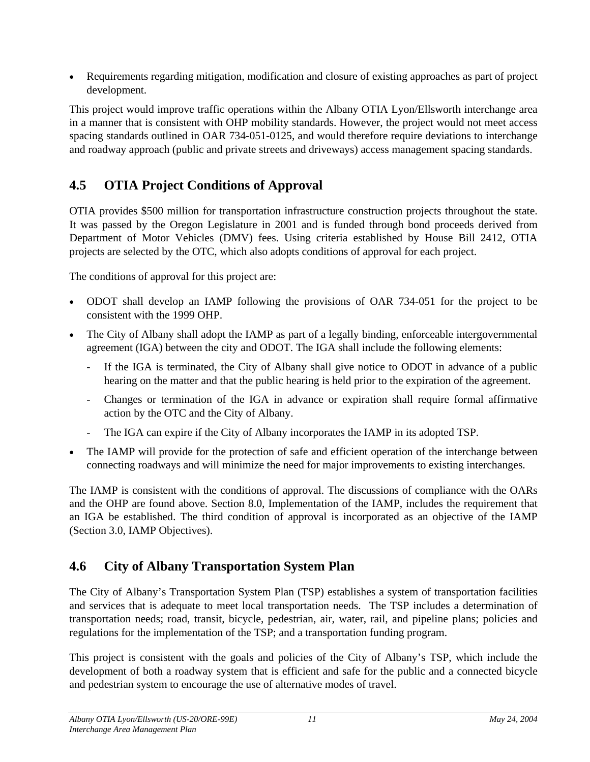<span id="page-17-0"></span>• Requirements regarding mitigation, modification and closure of existing approaches as part of project development.

This project would improve traffic operations within the Albany OTIA Lyon/Ellsworth interchange area in a manner that is consistent with OHP mobility standards. However, the project would not meet access spacing standards outlined in OAR 734-051-0125, and would therefore require deviations to interchange and roadway approach (public and private streets and driveways) access management spacing standards.

# **4.5 OTIA Project Conditions of Approval**

OTIA provides \$500 million for transportation infrastructure construction projects throughout the state. It was passed by the Oregon Legislature in 2001 and is funded through bond proceeds derived from Department of Motor Vehicles (DMV) fees. Using criteria established by House Bill 2412, OTIA projects are selected by the OTC, which also adopts conditions of approval for each project.

The conditions of approval for this project are:

- ODOT shall develop an IAMP following the provisions of OAR 734-051 for the project to be consistent with the 1999 OHP.
- The City of Albany shall adopt the IAMP as part of a legally binding, enforceable intergovernmental agreement (IGA) between the city and ODOT. The IGA shall include the following elements:
	- If the IGA is terminated, the City of Albany shall give notice to ODOT in advance of a public hearing on the matter and that the public hearing is held prior to the expiration of the agreement.
	- Changes or termination of the IGA in advance or expiration shall require formal affirmative action by the OTC and the City of Albany.
	- The IGA can expire if the City of Albany incorporates the IAMP in its adopted TSP.
- The IAMP will provide for the protection of safe and efficient operation of the interchange between connecting roadways and will minimize the need for major improvements to existing interchanges.

The IAMP is consistent with the conditions of approval. The discussions of compliance with the OARs and the OHP are found above. Section 8.0, Implementation of the IAMP, includes the requirement that an IGA be established. The third condition of approval is incorporated as an objective of the IAMP (Section 3.0, IAMP Objectives).

# **4.6 City of Albany Transportation System Plan**

The City of Albany's Transportation System Plan (TSP) establishes a system of transportation facilities and services that is adequate to meet local transportation needs. The TSP includes a determination of transportation needs; road, transit, bicycle, pedestrian, air, water, rail, and pipeline plans; policies and regulations for the implementation of the TSP; and a transportation funding program.

This project is consistent with the goals and policies of the City of Albany's TSP, which include the development of both a roadway system that is efficient and safe for the public and a connected bicycle and pedestrian system to encourage the use of alternative modes of travel.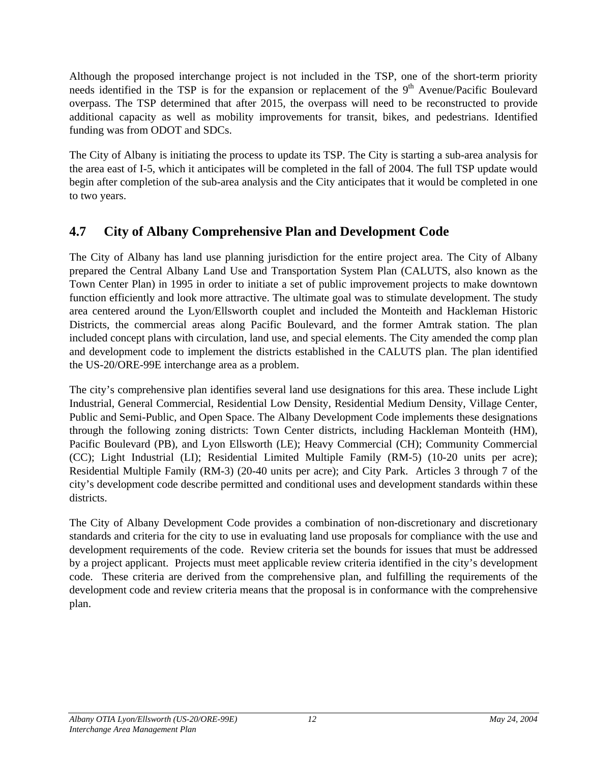<span id="page-18-0"></span>Although the proposed interchange project is not included in the TSP, one of the short-term priority needs identified in the TSP is for the expansion or replacement of the 9<sup>th</sup> Avenue/Pacific Boulevard overpass. The TSP determined that after 2015, the overpass will need to be reconstructed to provide additional capacity as well as mobility improvements for transit, bikes, and pedestrians. Identified funding was from ODOT and SDCs.

The City of Albany is initiating the process to update its TSP. The City is starting a sub-area analysis for the area east of I-5, which it anticipates will be completed in the fall of 2004. The full TSP update would begin after completion of the sub-area analysis and the City anticipates that it would be completed in one to two years.

# **4.7 City of Albany Comprehensive Plan and Development Code**

The City of Albany has land use planning jurisdiction for the entire project area. The City of Albany prepared the Central Albany Land Use and Transportation System Plan (CALUTS, also known as the Town Center Plan) in 1995 in order to initiate a set of public improvement projects to make downtown function efficiently and look more attractive. The ultimate goal was to stimulate development. The study area centered around the Lyon/Ellsworth couplet and included the Monteith and Hackleman Historic Districts, the commercial areas along Pacific Boulevard, and the former Amtrak station. The plan included concept plans with circulation, land use, and special elements. The City amended the comp plan and development code to implement the districts established in the CALUTS plan. The plan identified the US-20/ORE-99E interchange area as a problem.

The city's comprehensive plan identifies several land use designations for this area. These include Light Industrial, General Commercial, Residential Low Density, Residential Medium Density, Village Center, Public and Semi-Public, and Open Space. The Albany Development Code implements these designations through the following zoning districts: Town Center districts, including Hackleman Monteith (HM), Pacific Boulevard (PB), and Lyon Ellsworth (LE); Heavy Commercial (CH); Community Commercial (CC); Light Industrial (LI); Residential Limited Multiple Family (RM-5) (10-20 units per acre); Residential Multiple Family (RM-3) (20-40 units per acre); and City Park. Articles 3 through 7 of the city's development code describe permitted and conditional uses and development standards within these districts.

The City of Albany Development Code provides a combination of non-discretionary and discretionary standards and criteria for the city to use in evaluating land use proposals for compliance with the use and development requirements of the code. Review criteria set the bounds for issues that must be addressed by a project applicant. Projects must meet applicable review criteria identified in the city's development code. These criteria are derived from the comprehensive plan, and fulfilling the requirements of the development code and review criteria means that the proposal is in conformance with the comprehensive plan.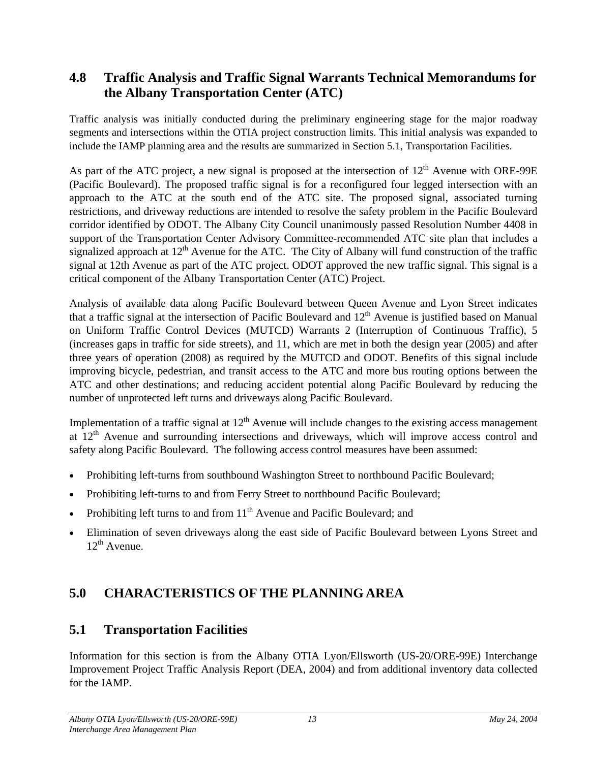# <span id="page-19-0"></span>**4.8 Traffic Analysis and Traffic Signal Warrants Technical Memorandums for the Albany Transportation Center (ATC)**

Traffic analysis was initially conducted during the preliminary engineering stage for the major roadway segments and intersections within the OTIA project construction limits. This initial analysis was expanded to include the IAMP planning area and the results are summarized in Section 5.1, Transportation Facilities.

As part of the ATC project, a new signal is proposed at the intersection of  $12<sup>th</sup>$  Avenue with ORE-99E (Pacific Boulevard). The proposed traffic signal is for a reconfigured four legged intersection with an approach to the ATC at the south end of the ATC site. The proposed signal, associated turning restrictions, and driveway reductions are intended to resolve the safety problem in the Pacific Boulevard corridor identified by ODOT. The Albany City Council unanimously passed Resolution Number 4408 in support of the Transportation Center Advisory Committee-recommended ATC site plan that includes a signalized approach at  $12<sup>th</sup>$  Avenue for the ATC. The City of Albany will fund construction of the traffic signal at 12th Avenue as part of the ATC project. ODOT approved the new traffic signal. This signal is a critical component of the Albany Transportation Center (ATC) Project.

Analysis of available data along Pacific Boulevard between Queen Avenue and Lyon Street indicates that a traffic signal at the intersection of Pacific Boulevard and  $12<sup>th</sup>$  Avenue is justified based on Manual on Uniform Traffic Control Devices (MUTCD) Warrants 2 (Interruption of Continuous Traffic), 5 (increases gaps in traffic for side streets), and 11, which are met in both the design year (2005) and after three years of operation (2008) as required by the MUTCD and ODOT. Benefits of this signal include improving bicycle, pedestrian, and transit access to the ATC and more bus routing options between the ATC and other destinations; and reducing accident potential along Pacific Boulevard by reducing the number of unprotected left turns and driveways along Pacific Boulevard.

Implementation of a traffic signal at  $12<sup>th</sup>$  Avenue will include changes to the existing access management at  $12<sup>th</sup>$  Avenue and surrounding intersections and driveways, which will improve access control and safety along Pacific Boulevard. The following access control measures have been assumed:

- Prohibiting left-turns from southbound Washington Street to northbound Pacific Boulevard;
- Prohibiting left-turns to and from Ferry Street to northbound Pacific Boulevard;
- Prohibiting left turns to and from 11<sup>th</sup> Avenue and Pacific Boulevard; and
- Elimination of seven driveways along the east side of Pacific Boulevard between Lyons Street and  $12^{th}$  Avenue.

# **5.0 CHARACTERISTICS OF THE PLANNING AREA**

# **5.1 Transportation Facilities**

Information for this section is from the Albany OTIA Lyon/Ellsworth (US-20/ORE-99E) Interchange Improvement Project Traffic Analysis Report (DEA, 2004) and from additional inventory data collected for the IAMP.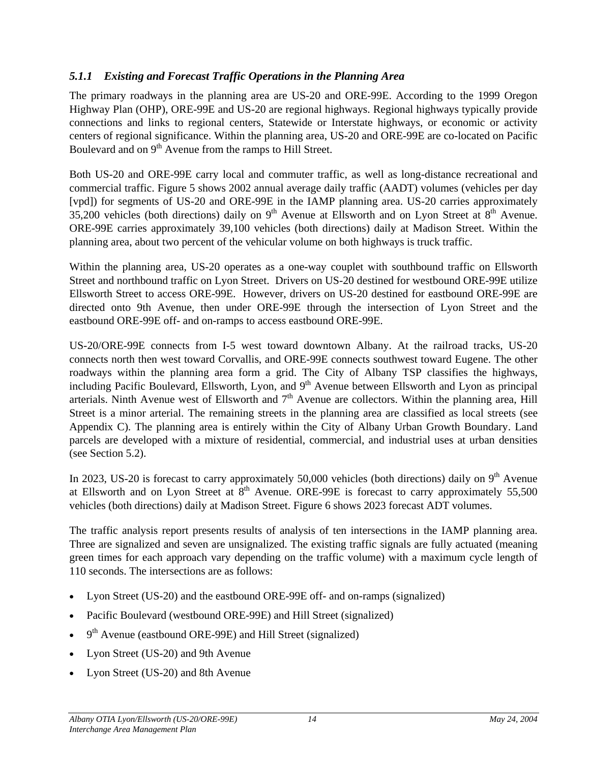#### <span id="page-20-0"></span>*5.1.1 Existing and Forecast Traffic Operations in the Planning Area*

The primary roadways in the planning area are US-20 and ORE-99E. According to the 1999 Oregon Highway Plan (OHP), ORE-99E and US-20 are regional highways. Regional highways typically provide connections and links to regional centers, Statewide or Interstate highways, or economic or activity centers of regional significance. Within the planning area, US-20 and ORE-99E are co-located on Pacific Boulevard and on 9<sup>th</sup> Avenue from the ramps to Hill Street.

Both US-20 and ORE-99E carry local and commuter traffic, as well as long-distance recreational and commercial traffic. Figure 5 shows 2002 annual average daily traffic (AADT) volumes (vehicles per day [vpd]) for segments of US-20 and ORE-99E in the IAMP planning area. US-20 carries approximately  $35,200$  vehicles (both directions) daily on 9<sup>th</sup> Avenue at Ellsworth and on Lyon Street at  $8<sup>th</sup>$  Avenue. ORE-99E carries approximately 39,100 vehicles (both directions) daily at Madison Street. Within the planning area, about two percent of the vehicular volume on both highways is truck traffic.

Within the planning area, US-20 operates as a one-way couplet with southbound traffic on Ellsworth Street and northbound traffic on Lyon Street. Drivers on US-20 destined for westbound ORE-99E utilize Ellsworth Street to access ORE-99E. However, drivers on US-20 destined for eastbound ORE-99E are directed onto 9th Avenue, then under ORE-99E through the intersection of Lyon Street and the eastbound ORE-99E off- and on-ramps to access eastbound ORE-99E.

US-20/ORE-99E connects from I-5 west toward downtown Albany. At the railroad tracks, US-20 connects north then west toward Corvallis, and ORE-99E connects southwest toward Eugene. The other roadways within the planning area form a grid. The City of Albany TSP classifies the highways, including Pacific Boulevard, Ellsworth, Lyon, and  $9<sup>th</sup>$  Avenue between Ellsworth and Lyon as principal arterials. Ninth Avenue west of Ellsworth and  $7<sup>th</sup>$  Avenue are collectors. Within the planning area, Hill Street is a minor arterial. The remaining streets in the planning area are classified as local streets (see Appendix C). The planning area is entirely within the City of Albany Urban Growth Boundary. Land parcels are developed with a mixture of residential, commercial, and industrial uses at urban densities (see Section 5.2).

In 2023, US-20 is forecast to carry approximately 50,000 vehicles (both directions) daily on  $9<sup>th</sup>$  Avenue at Ellsworth and on Lyon Street at  $8<sup>th</sup>$  Avenue. ORE-99E is forecast to carry approximately 55,500 vehicles (both directions) daily at Madison Street. Figure 6 shows 2023 forecast ADT volumes.

The traffic analysis report presents results of analysis of ten intersections in the IAMP planning area. Three are signalized and seven are unsignalized. The existing traffic signals are fully actuated (meaning green times for each approach vary depending on the traffic volume) with a maximum cycle length of 110 seconds. The intersections are as follows:

- Lyon Street (US-20) and the eastbound ORE-99E off- and on-ramps (signalized)
- Pacific Boulevard (westbound ORE-99E) and Hill Street (signalized)
- $9<sup>th</sup>$  Avenue (eastbound ORE-99E) and Hill Street (signalized)
- Lyon Street (US-20) and 9th Avenue
- Lyon Street (US-20) and 8th Avenue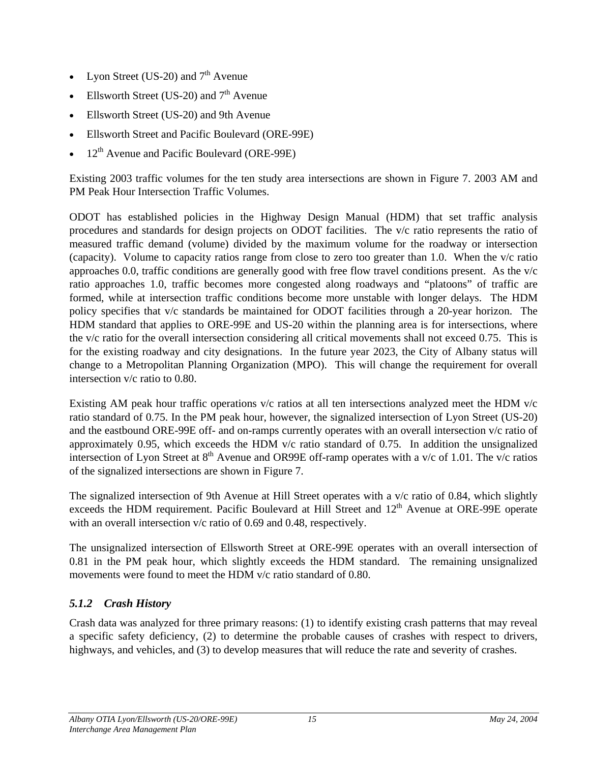- <span id="page-21-0"></span>Lyon Street (US-20) and  $7<sup>th</sup>$  Avenue
- Ellsworth Street (US-20) and  $7<sup>th</sup>$  Avenue
- Ellsworth Street (US-20) and 9th Avenue
- Ellsworth Street and Pacific Boulevard (ORE-99E)
- $12<sup>th</sup>$  Avenue and Pacific Boulevard (ORE-99E)

Existing 2003 traffic volumes for the ten study area intersections are shown in Figure 7. 2003 AM and PM Peak Hour Intersection Traffic Volumes.

ODOT has established policies in the Highway Design Manual (HDM) that set traffic analysis procedures and standards for design projects on ODOT facilities. The v/c ratio represents the ratio of measured traffic demand (volume) divided by the maximum volume for the roadway or intersection (capacity). Volume to capacity ratios range from close to zero too greater than 1.0. When the v/c ratio approaches 0.0, traffic conditions are generally good with free flow travel conditions present. As the  $v/c$ ratio approaches 1.0, traffic becomes more congested along roadways and "platoons" of traffic are formed, while at intersection traffic conditions become more unstable with longer delays. The HDM policy specifies that v/c standards be maintained for ODOT facilities through a 20-year horizon. The HDM standard that applies to ORE-99E and US-20 within the planning area is for intersections, where the v/c ratio for the overall intersection considering all critical movements shall not exceed 0.75. This is for the existing roadway and city designations. In the future year 2023, the City of Albany status will change to a Metropolitan Planning Organization (MPO). This will change the requirement for overall intersection v/c ratio to 0.80.

Existing AM peak hour traffic operations  $v/c$  ratios at all ten intersections analyzed meet the HDM  $v/c$ ratio standard of 0.75. In the PM peak hour, however, the signalized intersection of Lyon Street (US-20) and the eastbound ORE-99E off- and on-ramps currently operates with an overall intersection v/c ratio of approximately 0.95, which exceeds the HDM v/c ratio standard of 0.75. In addition the unsignalized intersection of Lyon Street at  $8<sup>th</sup>$  Avenue and OR99E off-ramp operates with a v/c of 1.01. The v/c ratios of the signalized intersections are shown in Figure 7.

The signalized intersection of 9th Avenue at Hill Street operates with a v/c ratio of 0.84, which slightly exceeds the HDM requirement. Pacific Boulevard at Hill Street and 12<sup>th</sup> Avenue at ORE-99E operate with an overall intersection  $v/c$  ratio of 0.69 and 0.48, respectively.

The unsignalized intersection of Ellsworth Street at ORE-99E operates with an overall intersection of 0.81 in the PM peak hour, which slightly exceeds the HDM standard. The remaining unsignalized movements were found to meet the HDM v/c ratio standard of 0.80.

## *5.1.2 Crash History*

Crash data was analyzed for three primary reasons: (1) to identify existing crash patterns that may reveal a specific safety deficiency, (2) to determine the probable causes of crashes with respect to drivers, highways, and vehicles, and (3) to develop measures that will reduce the rate and severity of crashes.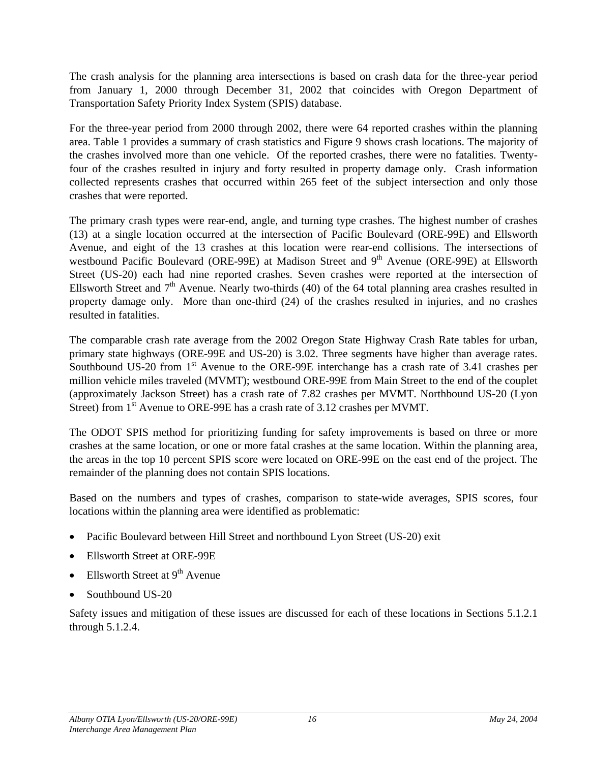<span id="page-22-0"></span>The crash analysis for the planning area intersections is based on crash data for the three-year period from January 1, 2000 through December 31, 2002 that coincides with Oregon Department of Transportation Safety Priority Index System (SPIS) database.

For the three-year period from 2000 through 2002, there were 64 reported crashes within the planning area. Table 1 provides a summary of crash statistics and Figure 9 shows crash locations. The majority of the crashes involved more than one vehicle. Of the reported crashes, there were no fatalities. Twentyfour of the crashes resulted in injury and forty resulted in property damage only. Crash information collected represents crashes that occurred within 265 feet of the subject intersection and only those crashes that were reported.

The primary crash types were rear-end, angle, and turning type crashes. The highest number of crashes (13) at a single location occurred at the intersection of Pacific Boulevard (ORE-99E) and Ellsworth Avenue, and eight of the 13 crashes at this location were rear-end collisions. The intersections of westbound Pacific Boulevard (ORE-99E) at Madison Street and 9<sup>th</sup> Avenue (ORE-99E) at Ellsworth Street (US-20) each had nine reported crashes. Seven crashes were reported at the intersection of Ellsworth Street and  $7<sup>th</sup>$  Avenue. Nearly two-thirds (40) of the 64 total planning area crashes resulted in property damage only. More than one-third (24) of the crashes resulted in injuries, and no crashes resulted in fatalities.

The comparable crash rate average from the 2002 Oregon State Highway Crash Rate tables for urban, primary state highways (ORE-99E and US-20) is 3.02. Three segments have higher than average rates. Southbound US-20 from  $1<sup>st</sup>$  Avenue to the ORE-99E interchange has a crash rate of 3.41 crashes per million vehicle miles traveled (MVMT); westbound ORE-99E from Main Street to the end of the couplet (approximately Jackson Street) has a crash rate of 7.82 crashes per MVMT. Northbound US-20 (Lyon Street) from 1<sup>st</sup> Avenue to ORE-99E has a crash rate of 3.12 crashes per MVMT.

The ODOT SPIS method for prioritizing funding for safety improvements is based on three or more crashes at the same location, or one or more fatal crashes at the same location. Within the planning area, the areas in the top 10 percent SPIS score were located on ORE-99E on the east end of the project. The remainder of the planning does not contain SPIS locations.

Based on the numbers and types of crashes, comparison to state-wide averages, SPIS scores, four locations within the planning area were identified as problematic:

- Pacific Boulevard between Hill Street and northbound Lyon Street (US-20) exit
- Ellsworth Street at ORE-99E
- Ellsworth Street at  $9<sup>th</sup>$  Avenue
- Southbound US-20

Safety issues and mitigation of these issues are discussed for each of these locations in Sections 5.1.2.1 through 5.1.2.4.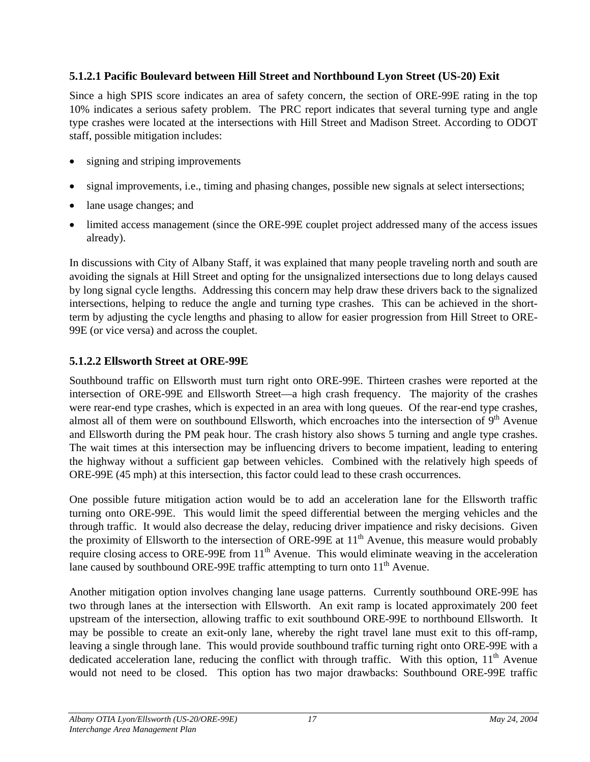#### **5.1.2.1 Pacific Boulevard between Hill Street and Northbound Lyon Street (US-20) Exit**

Since a high SPIS score indicates an area of safety concern, the section of ORE-99E rating in the top 10% indicates a serious safety problem. The PRC report indicates that several turning type and angle type crashes were located at the intersections with Hill Street and Madison Street. According to ODOT staff, possible mitigation includes:

- signing and striping improvements
- signal improvements, i.e., timing and phasing changes, possible new signals at select intersections;
- lane usage changes; and
- limited access management (since the ORE-99E couplet project addressed many of the access issues already).

In discussions with City of Albany Staff, it was explained that many people traveling north and south are avoiding the signals at Hill Street and opting for the unsignalized intersections due to long delays caused by long signal cycle lengths. Addressing this concern may help draw these drivers back to the signalized intersections, helping to reduce the angle and turning type crashes. This can be achieved in the shortterm by adjusting the cycle lengths and phasing to allow for easier progression from Hill Street to ORE-99E (or vice versa) and across the couplet.

#### **5.1.2.2 Ellsworth Street at ORE-99E**

Southbound traffic on Ellsworth must turn right onto ORE-99E. Thirteen crashes were reported at the intersection of ORE-99E and Ellsworth Street—a high crash frequency. The majority of the crashes were rear-end type crashes, which is expected in an area with long queues. Of the rear-end type crashes, almost all of them were on southbound Ellsworth, which encroaches into the intersection of  $9<sup>th</sup>$  Avenue and Ellsworth during the PM peak hour. The crash history also shows 5 turning and angle type crashes. The wait times at this intersection may be influencing drivers to become impatient, leading to entering the highway without a sufficient gap between vehicles. Combined with the relatively high speeds of ORE-99E (45 mph) at this intersection, this factor could lead to these crash occurrences.

One possible future mitigation action would be to add an acceleration lane for the Ellsworth traffic turning onto ORE-99E. This would limit the speed differential between the merging vehicles and the through traffic. It would also decrease the delay, reducing driver impatience and risky decisions. Given the proximity of Ellsworth to the intersection of ORE-99E at  $11<sup>th</sup>$  Avenue, this measure would probably require closing access to ORE-99E from  $11<sup>th</sup>$  Avenue. This would eliminate weaving in the acceleration lane caused by southbound ORE-99E traffic attempting to turn onto  $11<sup>th</sup>$  Avenue.

Another mitigation option involves changing lane usage patterns. Currently southbound ORE-99E has two through lanes at the intersection with Ellsworth. An exit ramp is located approximately 200 feet upstream of the intersection, allowing traffic to exit southbound ORE-99E to northbound Ellsworth. It may be possible to create an exit-only lane, whereby the right travel lane must exit to this off-ramp, leaving a single through lane. This would provide southbound traffic turning right onto ORE-99E with a dedicated acceleration lane, reducing the conflict with through traffic. With this option,  $11<sup>th</sup>$  Avenue would not need to be closed. This option has two major drawbacks: Southbound ORE-99E traffic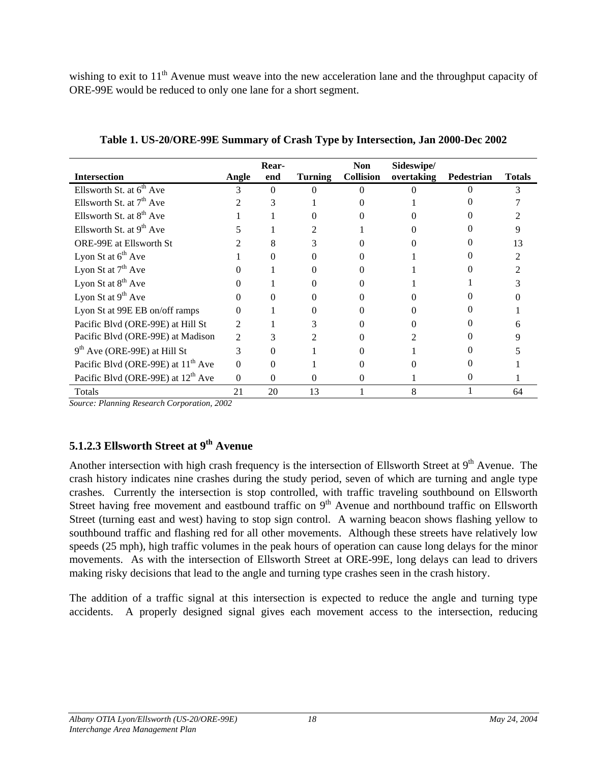<span id="page-24-0"></span>wishing to exit to 11<sup>th</sup> Avenue must weave into the new acceleration lane and the throughput capacity of ORE-99E would be reduced to only one lane for a short segment.

| <b>Intersection</b>                            | Angle    | Rear-<br>end | Turning | <b>Non</b><br><b>Collision</b> | Sideswipe/<br>overtaking | Pedestrian | <b>Totals</b> |
|------------------------------------------------|----------|--------------|---------|--------------------------------|--------------------------|------------|---------------|
| Ellsworth St. at 6 <sup>th</sup> Ave           | 3        | $\Omega$     | 0       | $\Omega$                       |                          |            | 3             |
| Ellsworth St. at $7th$ Ave                     |          | 3            |         |                                |                          |            |               |
| Ellsworth St. at $8th$ Ave                     |          |              |         |                                |                          |            |               |
| Ellsworth St. at $9th$ Ave                     |          |              | 2       |                                |                          |            |               |
| <b>ORE-99E</b> at Ellsworth St                 |          |              | 3       |                                |                          |            | 13            |
| Lyon St at $6th$ Ave                           |          |              | 0       |                                |                          |            |               |
| Lyon St at $7th$ Ave                           |          |              |         |                                |                          |            |               |
| Lyon St at $8th$ Ave                           |          |              | 0       |                                |                          |            |               |
| Lyon St at $9th$ Ave                           |          |              |         |                                |                          |            |               |
| Lyon St at 99E EB on/off ramps                 | 0        |              |         |                                |                          |            |               |
| Pacific Blvd (ORE-99E) at Hill St              | 2        |              |         |                                |                          |            |               |
| Pacific Blvd (ORE-99E) at Madison              | 2        |              |         |                                |                          |            |               |
| $9th$ Ave (ORE-99E) at Hill St                 | 3        | 0            |         |                                |                          |            |               |
| Pacific Blvd (ORE-99E) at 11 <sup>th</sup> Ave | $\Omega$ | $\Omega$     |         |                                |                          |            |               |
| Pacific Blvd (ORE-99E) at 12 <sup>th</sup> Ave | $\Omega$ | $\Omega$     | 0       | 0                              |                          | 0          |               |
| Totals                                         | 21       | 20           | 13      |                                | 8                        |            | 64            |

**Table 1. US-20/ORE-99E Summary of Crash Type by Intersection, Jan 2000-Dec 2002**

*Source: Planning Research Corporation, 2002* 

#### **5.1.2.3 Ellsworth Street at 9th Avenue**

Another intersection with high crash frequency is the intersection of Ellsworth Street at 9<sup>th</sup> Avenue. The crash history indicates nine crashes during the study period, seven of which are turning and angle type crashes. Currently the intersection is stop controlled, with traffic traveling southbound on Ellsworth Street having free movement and eastbound traffic on  $9<sup>th</sup>$  Avenue and northbound traffic on Ellsworth Street (turning east and west) having to stop sign control. A warning beacon shows flashing yellow to southbound traffic and flashing red for all other movements. Although these streets have relatively low speeds (25 mph), high traffic volumes in the peak hours of operation can cause long delays for the minor movements. As with the intersection of Ellsworth Street at ORE-99E, long delays can lead to drivers making risky decisions that lead to the angle and turning type crashes seen in the crash history.

The addition of a traffic signal at this intersection is expected to reduce the angle and turning type accidents. A properly designed signal gives each movement access to the intersection, reducing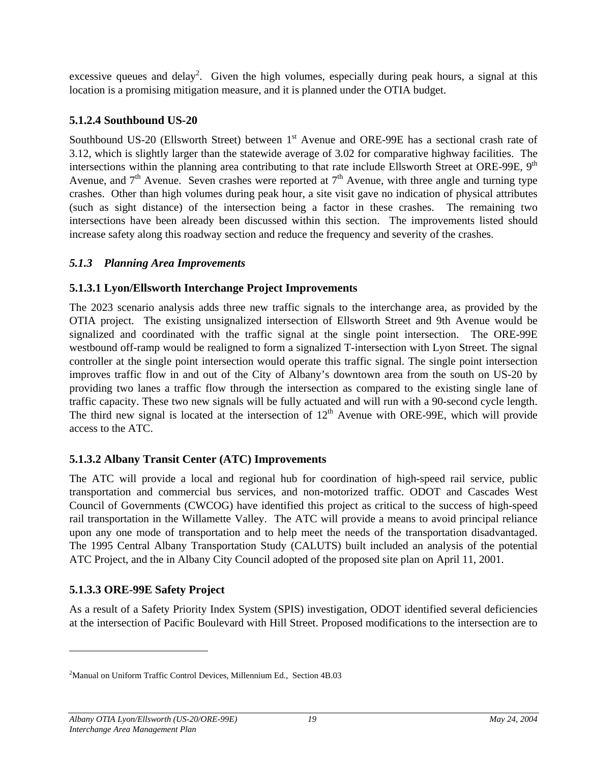<span id="page-25-0"></span>excessive queues and delay<sup>2</sup>. Given the high volumes, especially during peak hours, a signal at this location is a promising mitigation measure, and it is planned under the OTIA budget.

#### **5.1.2.4 Southbound US-20**

Southbound US-20 (Ellsworth Street) between 1<sup>st</sup> Avenue and ORE-99E has a sectional crash rate of 3.12, which is slightly larger than the statewide average of 3.02 for comparative highway facilities. The intersections within the planning area contributing to that rate include Ellsworth Street at ORE-99E,  $9<sup>th</sup>$ Avenue, and  $7<sup>th</sup>$  Avenue. Seven crashes were reported at  $7<sup>th</sup>$  Avenue, with three angle and turning type crashes. Other than high volumes during peak hour, a site visit gave no indication of physical attributes (such as sight distance) of the intersection being a factor in these crashes. The remaining two intersections have been already been discussed within this section. The improvements listed should increase safety along this roadway section and reduce the frequency and severity of the crashes.

#### *5.1.3 Planning Area Improvements*

#### **5.1.3.1 Lyon/Ellsworth Interchange Project Improvements**

The 2023 scenario analysis adds three new traffic signals to the interchange area, as provided by the OTIA project. The existing unsignalized intersection of Ellsworth Street and 9th Avenue would be signalized and coordinated with the traffic signal at the single point intersection. The ORE-99E westbound off-ramp would be realigned to form a signalized T-intersection with Lyon Street. The signal controller at the single point intersection would operate this traffic signal. The single point intersection improves traffic flow in and out of the City of Albany's downtown area from the south on US-20 by providing two lanes a traffic flow through the intersection as compared to the existing single lane of traffic capacity. These two new signals will be fully actuated and will run with a 90-second cycle length. The third new signal is located at the intersection of  $12<sup>th</sup>$  Avenue with ORE-99E, which will provide access to the ATC.

#### **5.1.3.2 Albany Transit Center (ATC) Improvements**

The ATC will provide a local and regional hub for coordination of high-speed rail service, public transportation and commercial bus services, and non-motorized traffic. ODOT and Cascades West Council of Governments (CWCOG) have identified this project as critical to the success of high-speed rail transportation in the Willamette Valley. The ATC will provide a means to avoid principal reliance upon any one mode of transportation and to help meet the needs of the transportation disadvantaged. The 1995 Central Albany Transportation Study (CALUTS) built included an analysis of the potential ATC Project, and the in Albany City Council adopted of the proposed site plan on April 11, 2001.

#### **5.1.3.3 ORE-99E Safety Project**

As a result of a Safety Priority Index System (SPIS) investigation, ODOT identified several deficiencies at the intersection of Pacific Boulevard with Hill Street. Proposed modifications to the intersection are to

<span id="page-25-1"></span><sup>&</sup>lt;sup>2</sup>Manual on Uniform Traffic Control Devices, Millennium Ed., Section 4B.03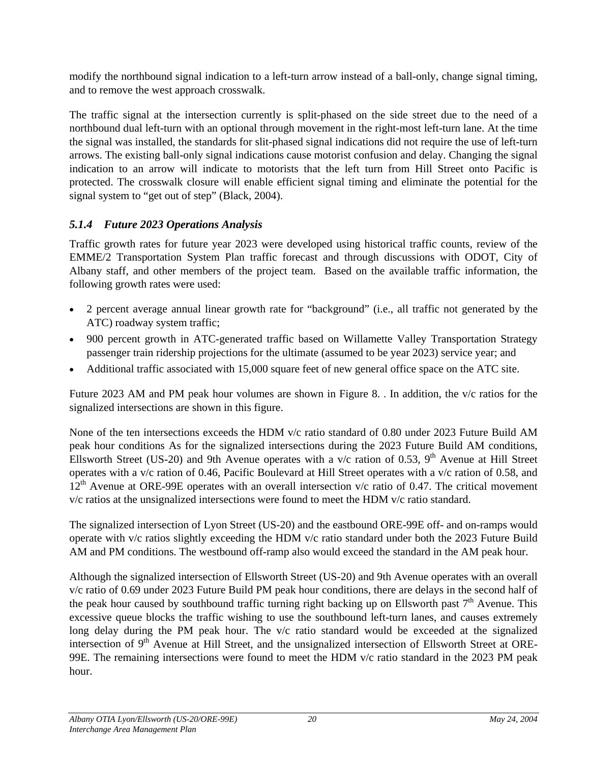<span id="page-26-0"></span>modify the northbound signal indication to a left-turn arrow instead of a ball-only, change signal timing, and to remove the west approach crosswalk.

The traffic signal at the intersection currently is split-phased on the side street due to the need of a northbound dual left-turn with an optional through movement in the right-most left-turn lane. At the time the signal was installed, the standards for slit-phased signal indications did not require the use of left-turn arrows. The existing ball-only signal indications cause motorist confusion and delay. Changing the signal indication to an arrow will indicate to motorists that the left turn from Hill Street onto Pacific is protected. The crosswalk closure will enable efficient signal timing and eliminate the potential for the signal system to "get out of step" (Black, 2004).

#### *5.1.4 Future 2023 Operations Analysis*

Traffic growth rates for future year 2023 were developed using historical traffic counts, review of the EMME/2 Transportation System Plan traffic forecast and through discussions with ODOT, City of Albany staff, and other members of the project team. Based on the available traffic information, the following growth rates were used:

- 2 percent average annual linear growth rate for "background" (i.e., all traffic not generated by the ATC) roadway system traffic;
- 900 percent growth in ATC-generated traffic based on Willamette Valley Transportation Strategy passenger train ridership projections for the ultimate (assumed to be year 2023) service year; and
- Additional traffic associated with 15,000 square feet of new general office space on the ATC site.

Future 2023 AM and PM peak hour volumes are shown in Figure 8. . In addition, the v/c ratios for the signalized intersections are shown in this figure.

None of the ten intersections exceeds the HDM v/c ratio standard of 0.80 under 2023 Future Build AM peak hour conditions As for the signalized intersections during the 2023 Future Build AM conditions, Ellsworth Street (US-20) and 9th Avenue operates with a  $v/c$  ration of 0.53, 9<sup>th</sup> Avenue at Hill Street operates with a v/c ration of 0.46, Pacific Boulevard at Hill Street operates with a v/c ration of 0.58, and  $12<sup>th</sup>$  Avenue at ORE-99E operates with an overall intersection v/c ratio of 0.47. The critical movement v/c ratios at the unsignalized intersections were found to meet the HDM v/c ratio standard.

The signalized intersection of Lyon Street (US-20) and the eastbound ORE-99E off- and on-ramps would operate with v/c ratios slightly exceeding the HDM v/c ratio standard under both the 2023 Future Build AM and PM conditions. The westbound off-ramp also would exceed the standard in the AM peak hour.

Although the signalized intersection of Ellsworth Street (US-20) and 9th Avenue operates with an overall v/c ratio of 0.69 under 2023 Future Build PM peak hour conditions, there are delays in the second half of the peak hour caused by southbound traffic turning right backing up on Ellsworth past  $7<sup>th</sup>$  Avenue. This excessive queue blocks the traffic wishing to use the southbound left-turn lanes, and causes extremely long delay during the PM peak hour. The v/c ratio standard would be exceeded at the signalized intersection of  $9<sup>th</sup>$  Avenue at Hill Street, and the unsignalized intersection of Ellsworth Street at ORE-99E. The remaining intersections were found to meet the HDM v/c ratio standard in the 2023 PM peak hour.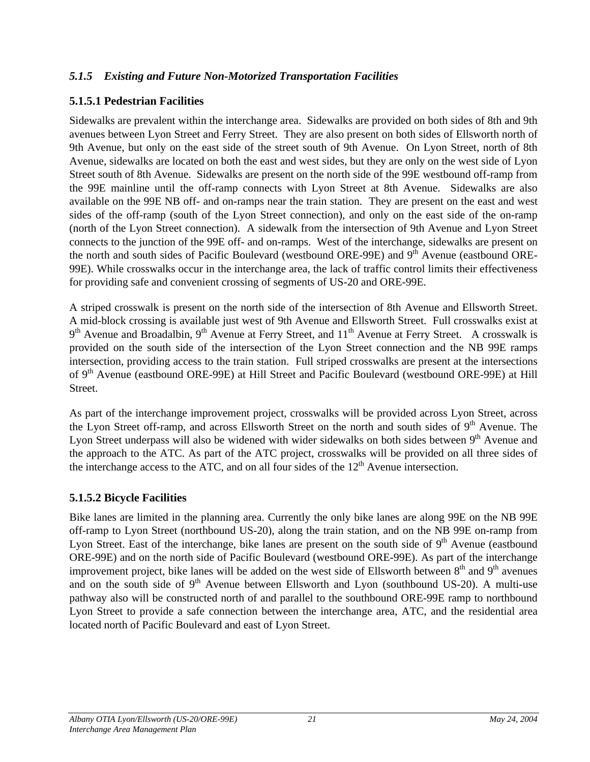#### <span id="page-27-0"></span>*5.1.5 Existing and Future Non-Motorized Transportation Facilities*

#### **5.1.5.1 Pedestrian Facilities**

Sidewalks are prevalent within the interchange area. Sidewalks are provided on both sides of 8th and 9th avenues between Lyon Street and Ferry Street. They are also present on both sides of Ellsworth north of 9th Avenue, but only on the east side of the street south of 9th Avenue. On Lyon Street, north of 8th Avenue, sidewalks are located on both the east and west sides, but they are only on the west side of Lyon Street south of 8th Avenue. Sidewalks are present on the north side of the 99E westbound off-ramp from the 99E mainline until the off-ramp connects with Lyon Street at 8th Avenue. Sidewalks are also available on the 99E NB off- and on-ramps near the train station. They are present on the east and west sides of the off-ramp (south of the Lyon Street connection), and only on the east side of the on-ramp (north of the Lyon Street connection). A sidewalk from the intersection of 9th Avenue and Lyon Street connects to the junction of the 99E off- and on-ramps. West of the interchange, sidewalks are present on the north and south sides of Pacific Boulevard (westbound ORE-99E) and 9<sup>th</sup> Avenue (eastbound ORE-99E). While crosswalks occur in the interchange area, the lack of traffic control limits their effectiveness for providing safe and convenient crossing of segments of US-20 and ORE-99E.

A striped crosswalk is present on the north side of the intersection of 8th Avenue and Ellsworth Street. A mid-block crossing is available just west of 9th Avenue and Ellsworth Street. Full crosswalks exist at  $9<sup>th</sup>$  Avenue and Broadalbin,  $9<sup>th</sup>$  Avenue at Ferry Street, and  $11<sup>th</sup>$  Avenue at Ferry Street. A crosswalk is provided on the south side of the intersection of the Lyon Street connection and the NB 99E ramps intersection, providing access to the train station. Full striped crosswalks are present at the intersections of 9<sup>th</sup> Avenue (eastbound ORE-99E) at Hill Street and Pacific Boulevard (westbound ORE-99E) at Hill Street.

As part of the interchange improvement project, crosswalks will be provided across Lyon Street, across the Lyon Street off-ramp, and across Ellsworth Street on the north and south sides of 9<sup>th</sup> Avenue. The Lyon Street underpass will also be widened with wider sidewalks on both sides between  $9<sup>th</sup>$  Avenue and the approach to the ATC. As part of the ATC project, crosswalks will be provided on all three sides of the interchange access to the ATC, and on all four sides of the  $12<sup>th</sup>$  Avenue intersection.

#### **5.1.5.2 Bicycle Facilities**

Bike lanes are limited in the planning area. Currently the only bike lanes are along 99E on the NB 99E off-ramp to Lyon Street (northbound US-20), along the train station, and on the NB 99E on-ramp from Lyon Street. East of the interchange, bike lanes are present on the south side of 9<sup>th</sup> Avenue (eastbound ORE-99E) and on the north side of Pacific Boulevard (westbound ORE-99E). As part of the interchange improvement project, bike lanes will be added on the west side of Ellsworth between  $8<sup>th</sup>$  and  $9<sup>th</sup>$  avenues and on the south side of  $9<sup>th</sup>$  Avenue between Ellsworth and Lyon (southbound US-20). A multi-use pathway also will be constructed north of and parallel to the southbound ORE-99E ramp to northbound Lyon Street to provide a safe connection between the interchange area, ATC, and the residential area located north of Pacific Boulevard and east of Lyon Street.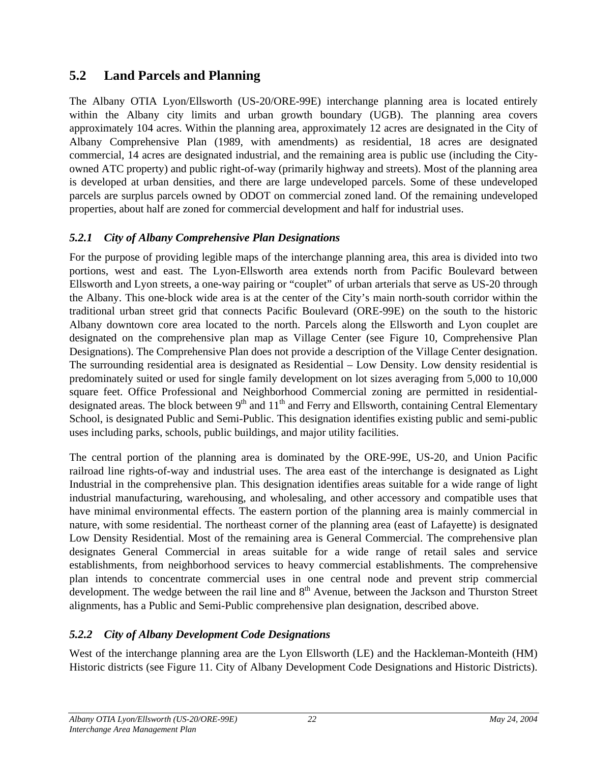# <span id="page-28-0"></span>**5.2 Land Parcels and Planning**

The Albany OTIA Lyon/Ellsworth (US-20/ORE-99E) interchange planning area is located entirely within the Albany city limits and urban growth boundary (UGB). The planning area covers approximately 104 acres. Within the planning area, approximately 12 acres are designated in the City of Albany Comprehensive Plan (1989, with amendments) as residential, 18 acres are designated commercial, 14 acres are designated industrial, and the remaining area is public use (including the Cityowned ATC property) and public right-of-way (primarily highway and streets). Most of the planning area is developed at urban densities, and there are large undeveloped parcels. Some of these undeveloped parcels are surplus parcels owned by ODOT on commercial zoned land. Of the remaining undeveloped properties, about half are zoned for commercial development and half for industrial uses.

## *5.2.1 City of Albany Comprehensive Plan Designations*

For the purpose of providing legible maps of the interchange planning area, this area is divided into two portions, west and east. The Lyon-Ellsworth area extends north from Pacific Boulevard between Ellsworth and Lyon streets, a one-way pairing or "couplet" of urban arterials that serve as US-20 through the Albany. This one-block wide area is at the center of the City's main north-south corridor within the traditional urban street grid that connects Pacific Boulevard (ORE-99E) on the south to the historic Albany downtown core area located to the north. Parcels along the Ellsworth and Lyon couplet are designated on the comprehensive plan map as Village Center (see Figure 10, Comprehensive Plan Designations). The Comprehensive Plan does not provide a description of the Village Center designation. The surrounding residential area is designated as Residential – Low Density. Low density residential is predominately suited or used for single family development on lot sizes averaging from 5,000 to 10,000 square feet. Office Professional and Neighborhood Commercial zoning are permitted in residentialdesignated areas. The block between  $9<sup>th</sup>$  and  $11<sup>th</sup>$  and Ferry and Ellsworth, containing Central Elementary School, is designated Public and Semi-Public. This designation identifies existing public and semi-public uses including parks, schools, public buildings, and major utility facilities.

The central portion of the planning area is dominated by the ORE-99E, US-20, and Union Pacific railroad line rights-of-way and industrial uses. The area east of the interchange is designated as Light Industrial in the comprehensive plan. This designation identifies areas suitable for a wide range of light industrial manufacturing, warehousing, and wholesaling, and other accessory and compatible uses that have minimal environmental effects. The eastern portion of the planning area is mainly commercial in nature, with some residential. The northeast corner of the planning area (east of Lafayette) is designated Low Density Residential. Most of the remaining area is General Commercial. The comprehensive plan designates General Commercial in areas suitable for a wide range of retail sales and service establishments, from neighborhood services to heavy commercial establishments. The comprehensive plan intends to concentrate commercial uses in one central node and prevent strip commercial development. The wedge between the rail line and 8<sup>th</sup> Avenue, between the Jackson and Thurston Street alignments, has a Public and Semi-Public comprehensive plan designation, described above.

# *5.2.2 City of Albany Development Code Designations*

West of the interchange planning area are the Lyon Ellsworth (LE) and the Hackleman-Monteith (HM) Historic districts (see Figure 11. City of Albany Development Code Designations and Historic Districts).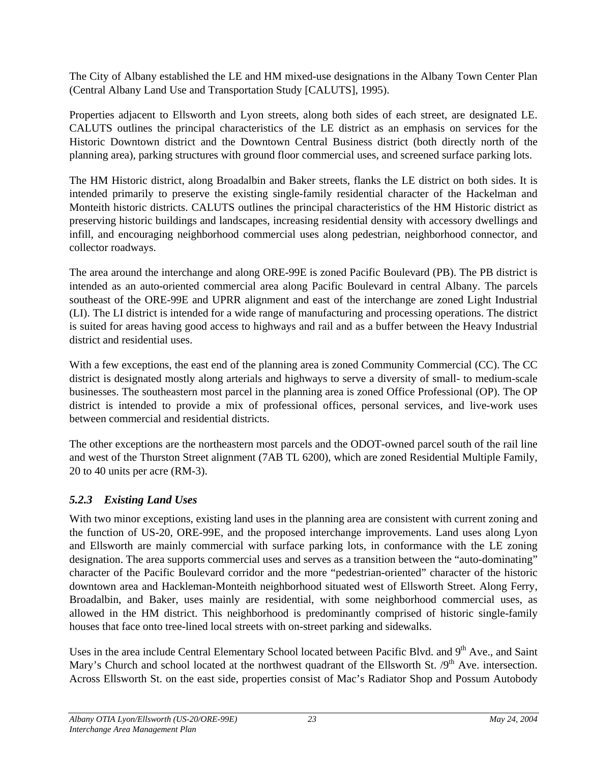<span id="page-29-0"></span>The City of Albany established the LE and HM mixed-use designations in the Albany Town Center Plan (Central Albany Land Use and Transportation Study [CALUTS], 1995).

Properties adjacent to Ellsworth and Lyon streets, along both sides of each street, are designated LE. CALUTS outlines the principal characteristics of the LE district as an emphasis on services for the Historic Downtown district and the Downtown Central Business district (both directly north of the planning area), parking structures with ground floor commercial uses, and screened surface parking lots.

The HM Historic district, along Broadalbin and Baker streets, flanks the LE district on both sides. It is intended primarily to preserve the existing single-family residential character of the Hackelman and Monteith historic districts. CALUTS outlines the principal characteristics of the HM Historic district as preserving historic buildings and landscapes, increasing residential density with accessory dwellings and infill, and encouraging neighborhood commercial uses along pedestrian, neighborhood connector, and collector roadways.

The area around the interchange and along ORE-99E is zoned Pacific Boulevard (PB). The PB district is intended as an auto-oriented commercial area along Pacific Boulevard in central Albany. The parcels southeast of the ORE-99E and UPRR alignment and east of the interchange are zoned Light Industrial (LI). The LI district is intended for a wide range of manufacturing and processing operations. The district is suited for areas having good access to highways and rail and as a buffer between the Heavy Industrial district and residential uses.

With a few exceptions, the east end of the planning area is zoned Community Commercial (CC). The CC district is designated mostly along arterials and highways to serve a diversity of small- to medium-scale businesses. The southeastern most parcel in the planning area is zoned Office Professional (OP). The OP district is intended to provide a mix of professional offices, personal services, and live-work uses between commercial and residential districts.

The other exceptions are the northeastern most parcels and the ODOT-owned parcel south of the rail line and west of the Thurston Street alignment (7AB TL 6200), which are zoned Residential Multiple Family, 20 to 40 units per acre (RM-3).

## *5.2.3 Existing Land Uses*

With two minor exceptions, existing land uses in the planning area are consistent with current zoning and the function of US-20, ORE-99E, and the proposed interchange improvements. Land uses along Lyon and Ellsworth are mainly commercial with surface parking lots, in conformance with the LE zoning designation. The area supports commercial uses and serves as a transition between the "auto-dominating" character of the Pacific Boulevard corridor and the more "pedestrian-oriented" character of the historic downtown area and Hackleman-Monteith neighborhood situated west of Ellsworth Street. Along Ferry, Broadalbin, and Baker, uses mainly are residential, with some neighborhood commercial uses, as allowed in the HM district. This neighborhood is predominantly comprised of historic single-family houses that face onto tree-lined local streets with on-street parking and sidewalks.

Uses in the area include Central Elementary School located between Pacific Blvd. and 9<sup>th</sup> Ave., and Saint Mary's Church and school located at the northwest quadrant of the Ellsworth St. /9<sup>th</sup> Ave. intersection. Across Ellsworth St. on the east side, properties consist of Mac's Radiator Shop and Possum Autobody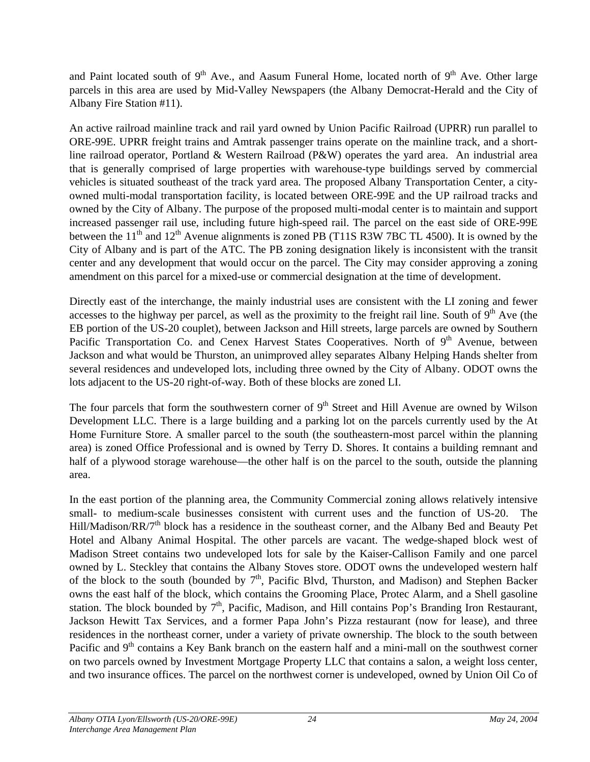and Paint located south of  $9<sup>th</sup>$  Ave., and Aasum Funeral Home, located north of  $9<sup>th</sup>$  Ave. Other large parcels in this area are used by Mid-Valley Newspapers (the Albany Democrat-Herald and the City of Albany Fire Station #11).

An active railroad mainline track and rail yard owned by Union Pacific Railroad (UPRR) run parallel to ORE-99E. UPRR freight trains and Amtrak passenger trains operate on the mainline track, and a shortline railroad operator, Portland & Western Railroad (P&W) operates the yard area. An industrial area that is generally comprised of large properties with warehouse-type buildings served by commercial vehicles is situated southeast of the track yard area. The proposed Albany Transportation Center, a cityowned multi-modal transportation facility, is located between ORE-99E and the UP railroad tracks and owned by the City of Albany. The purpose of the proposed multi-modal center is to maintain and support increased passenger rail use, including future high-speed rail. The parcel on the east side of ORE-99E between the  $11<sup>th</sup>$  and  $12<sup>th</sup>$  Avenue alignments is zoned PB (T11S R3W 7BC TL 4500). It is owned by the City of Albany and is part of the ATC. The PB zoning designation likely is inconsistent with the transit center and any development that would occur on the parcel. The City may consider approving a zoning amendment on this parcel for a mixed-use or commercial designation at the time of development.

Directly east of the interchange, the mainly industrial uses are consistent with the LI zoning and fewer accesses to the highway per parcel, as well as the proximity to the freight rail line. South of  $9<sup>th</sup>$  Ave (the EB portion of the US-20 couplet), between Jackson and Hill streets, large parcels are owned by Southern Pacific Transportation Co. and Cenex Harvest States Cooperatives. North of  $9<sup>th</sup>$  Avenue, between Jackson and what would be Thurston, an unimproved alley separates Albany Helping Hands shelter from several residences and undeveloped lots, including three owned by the City of Albany. ODOT owns the lots adjacent to the US-20 right-of-way. Both of these blocks are zoned LI.

The four parcels that form the southwestern corner of  $9<sup>th</sup>$  Street and Hill Avenue are owned by Wilson Development LLC. There is a large building and a parking lot on the parcels currently used by the At Home Furniture Store. A smaller parcel to the south (the southeastern-most parcel within the planning area) is zoned Office Professional and is owned by Terry D. Shores. It contains a building remnant and half of a plywood storage warehouse—the other half is on the parcel to the south, outside the planning area.

In the east portion of the planning area, the Community Commercial zoning allows relatively intensive small- to medium-scale businesses consistent with current uses and the function of US-20. The Hill/Madison/RR/7<sup>th</sup> block has a residence in the southeast corner, and the Albany Bed and Beauty Pet Hotel and Albany Animal Hospital. The other parcels are vacant. The wedge-shaped block west of Madison Street contains two undeveloped lots for sale by the Kaiser-Callison Family and one parcel owned by L. Steckley that contains the Albany Stoves store. ODOT owns the undeveloped western half of the block to the south (bounded by  $7<sup>th</sup>$ , Pacific Blvd, Thurston, and Madison) and Stephen Backer owns the east half of the block, which contains the Grooming Place, Protec Alarm, and a Shell gasoline station. The block bounded by  $7<sup>th</sup>$ , Pacific, Madison, and Hill contains Pop's Branding Iron Restaurant, Jackson Hewitt Tax Services, and a former Papa John's Pizza restaurant (now for lease), and three residences in the northeast corner, under a variety of private ownership. The block to the south between Pacific and 9<sup>th</sup> contains a Key Bank branch on the eastern half and a mini-mall on the southwest corner on two parcels owned by Investment Mortgage Property LLC that contains a salon, a weight loss center, and two insurance offices. The parcel on the northwest corner is undeveloped, owned by Union Oil Co of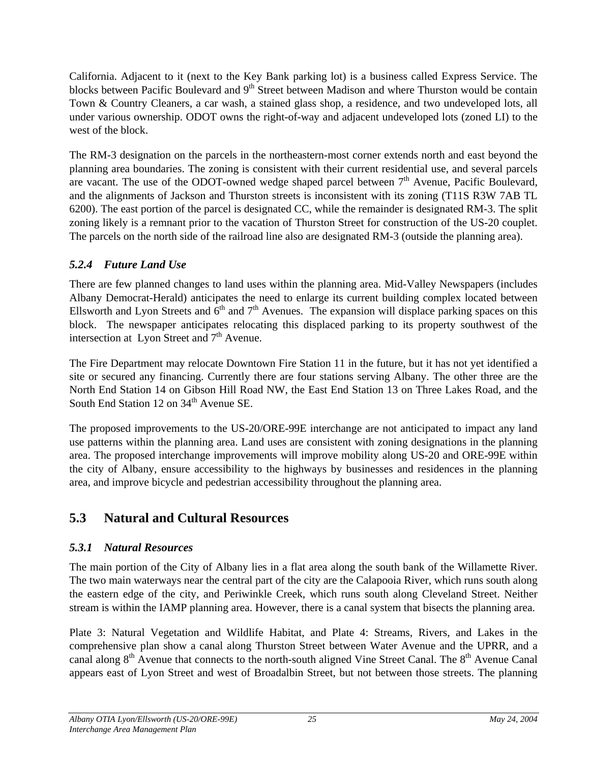<span id="page-31-0"></span>California. Adjacent to it (next to the Key Bank parking lot) is a business called Express Service. The blocks between Pacific Boulevard and 9<sup>th</sup> Street between Madison and where Thurston would be contain Town & Country Cleaners, a car wash, a stained glass shop, a residence, and two undeveloped lots, all under various ownership. ODOT owns the right-of-way and adjacent undeveloped lots (zoned LI) to the west of the block.

The RM-3 designation on the parcels in the northeastern-most corner extends north and east beyond the planning area boundaries. The zoning is consistent with their current residential use, and several parcels are vacant. The use of the ODOT-owned wedge shaped parcel between  $7<sup>th</sup>$  Avenue, Pacific Boulevard, and the alignments of Jackson and Thurston streets is inconsistent with its zoning (T11S R3W 7AB TL 6200). The east portion of the parcel is designated CC, while the remainder is designated RM-3. The split zoning likely is a remnant prior to the vacation of Thurston Street for construction of the US-20 couplet. The parcels on the north side of the railroad line also are designated RM-3 (outside the planning area).

#### *5.2.4 Future Land Use*

There are few planned changes to land uses within the planning area. Mid-Valley Newspapers (includes Albany Democrat-Herald) anticipates the need to enlarge its current building complex located between Ellsworth and Lyon Streets and  $6<sup>th</sup>$  and  $7<sup>th</sup>$  Avenues. The expansion will displace parking spaces on this block. The newspaper anticipates relocating this displaced parking to its property southwest of the intersection at Lyon Street and  $7<sup>th</sup>$  Avenue.

The Fire Department may relocate Downtown Fire Station 11 in the future, but it has not yet identified a site or secured any financing. Currently there are four stations serving Albany. The other three are the North End Station 14 on Gibson Hill Road NW, the East End Station 13 on Three Lakes Road, and the South End Station 12 on  $34<sup>th</sup>$  Avenue SE.

The proposed improvements to the US-20/ORE-99E interchange are not anticipated to impact any land use patterns within the planning area. Land uses are consistent with zoning designations in the planning area. The proposed interchange improvements will improve mobility along US-20 and ORE-99E within the city of Albany, ensure accessibility to the highways by businesses and residences in the planning area, and improve bicycle and pedestrian accessibility throughout the planning area.

# **5.3 Natural and Cultural Resources**

## *5.3.1 Natural Resources*

The main portion of the City of Albany lies in a flat area along the south bank of the Willamette River. The two main waterways near the central part of the city are the Calapooia River, which runs south along the eastern edge of the city, and Periwinkle Creek, which runs south along Cleveland Street. Neither stream is within the IAMP planning area. However, there is a canal system that bisects the planning area.

Plate 3: Natural Vegetation and Wildlife Habitat, and Plate 4: Streams, Rivers, and Lakes in the comprehensive plan show a canal along Thurston Street between Water Avenue and the UPRR, and a canal along 8<sup>th</sup> Avenue that connects to the north-south aligned Vine Street Canal. The 8<sup>th</sup> Avenue Canal appears east of Lyon Street and west of Broadalbin Street, but not between those streets. The planning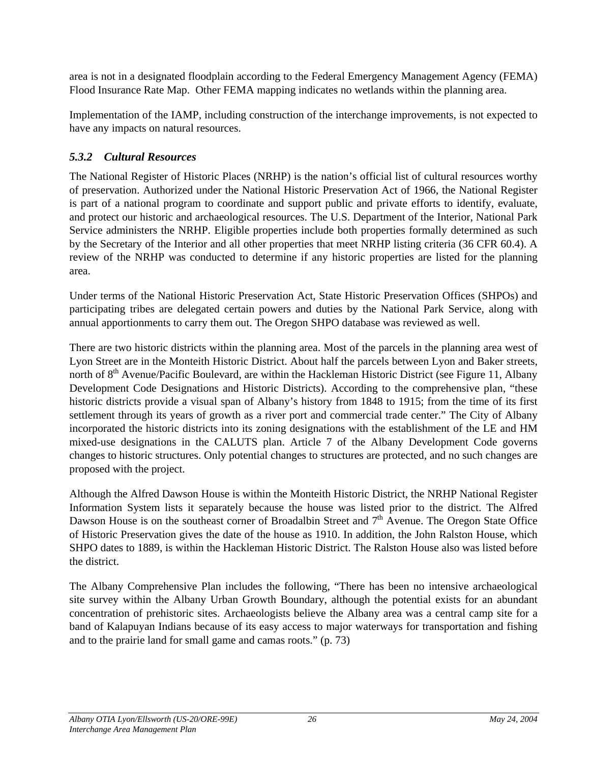<span id="page-32-0"></span>area is not in a designated floodplain according to the Federal Emergency Management Agency (FEMA) Flood Insurance Rate Map. Other FEMA mapping indicates no wetlands within the planning area.

Implementation of the IAMP, including construction of the interchange improvements, is not expected to have any impacts on natural resources.

#### *5.3.2 Cultural Resources*

The National Register of Historic Places (NRHP) is the nation's official list of cultural resources worthy of preservation. Authorized under the National Historic Preservation Act of 1966, the National Register is part of a national program to coordinate and support public and private efforts to identify, evaluate, and protect our historic and archaeological resources. The U.S. Department of the Interior, National Park Service administers the NRHP. Eligible properties include both properties formally determined as such by the Secretary of the Interior and all other properties that meet NRHP listing criteria (36 CFR 60.4). A review of the NRHP was conducted to determine if any historic properties are listed for the planning area.

Under terms of the National Historic Preservation Act, State Historic Preservation Offices (SHPOs) and participating tribes are delegated certain powers and duties by the National Park Service, along with annual apportionments to carry them out. The Oregon SHPO database was reviewed as well.

There are two historic districts within the planning area. Most of the parcels in the planning area west of Lyon Street are in the Monteith Historic District. About half the parcels between Lyon and Baker streets, north of  $8<sup>th</sup>$  Avenue/Pacific Boulevard, are within the Hackleman Historic District (see Figure 11, Albany Development Code Designations and Historic Districts). According to the comprehensive plan, "these historic districts provide a visual span of Albany's history from 1848 to 1915; from the time of its first settlement through its years of growth as a river port and commercial trade center." The City of Albany incorporated the historic districts into its zoning designations with the establishment of the LE and HM mixed-use designations in the CALUTS plan. Article 7 of the Albany Development Code governs changes to historic structures. Only potential changes to structures are protected, and no such changes are proposed with the project.

Although the Alfred Dawson House is within the Monteith Historic District, the NRHP National Register Information System lists it separately because the house was listed prior to the district. The Alfred Dawson House is on the southeast corner of Broadalbin Street and  $7<sup>th</sup>$  Avenue. The Oregon State Office of Historic Preservation gives the date of the house as 1910. In addition, the John Ralston House, which SHPO dates to 1889, is within the Hackleman Historic District. The Ralston House also was listed before the district.

The Albany Comprehensive Plan includes the following, "There has been no intensive archaeological site survey within the Albany Urban Growth Boundary, although the potential exists for an abundant concentration of prehistoric sites. Archaeologists believe the Albany area was a central camp site for a band of Kalapuyan Indians because of its easy access to major waterways for transportation and fishing and to the prairie land for small game and camas roots." (p. 73)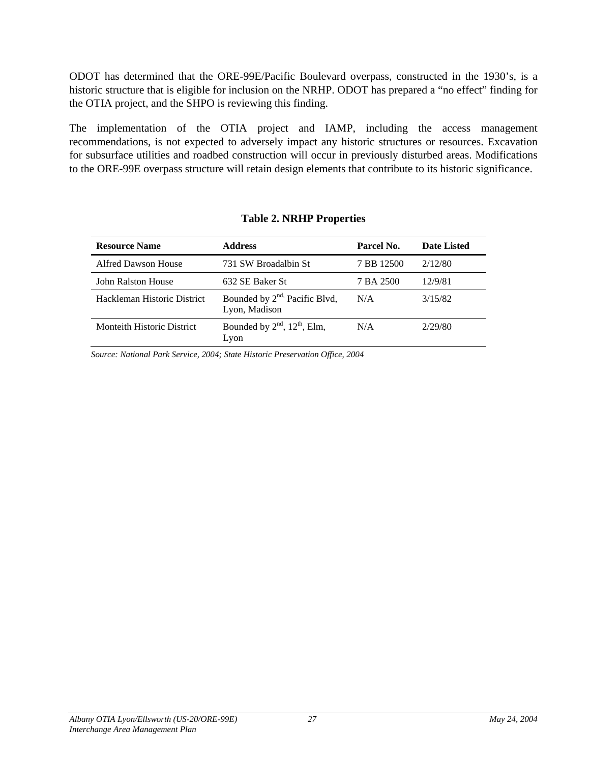<span id="page-33-0"></span>ODOT has determined that the ORE-99E/Pacific Boulevard overpass, constructed in the 1930's, is a historic structure that is eligible for inclusion on the NRHP. ODOT has prepared a "no effect" finding for the OTIA project, and the SHPO is reviewing this finding.

The implementation of the OTIA project and IAMP, including the access management recommendations, is not expected to adversely impact any historic structures or resources. Excavation for subsurface utilities and roadbed construction will occur in previously disturbed areas. Modifications to the ORE-99E overpass structure will retain design elements that contribute to its historic significance.

| <b>Resource Name</b>        | <b>Address</b>                                             | Parcel No. | <b>Date Listed</b> |
|-----------------------------|------------------------------------------------------------|------------|--------------------|
| Alfred Dawson House         | 731 SW Broadalbin St                                       | 7 BB 12500 | 2/12/80            |
| John Ralston House          | 632 SE Baker St                                            | 7 BA 2500  | 12/9/81            |
| Hackleman Historic District | Bounded by 2 <sup>nd,</sup> Pacific Blvd,<br>Lyon, Madison | N/A        | 3/15/82            |
| Monteith Historic District  | Bounded by $2nd$ , $12th$ , Elm,<br>Lyon                   | N/A        | 2/29/80            |

#### **Table 2. NRHP Properties**

*Source: National Park Service, 2004; State Historic Preservation Office, 2004*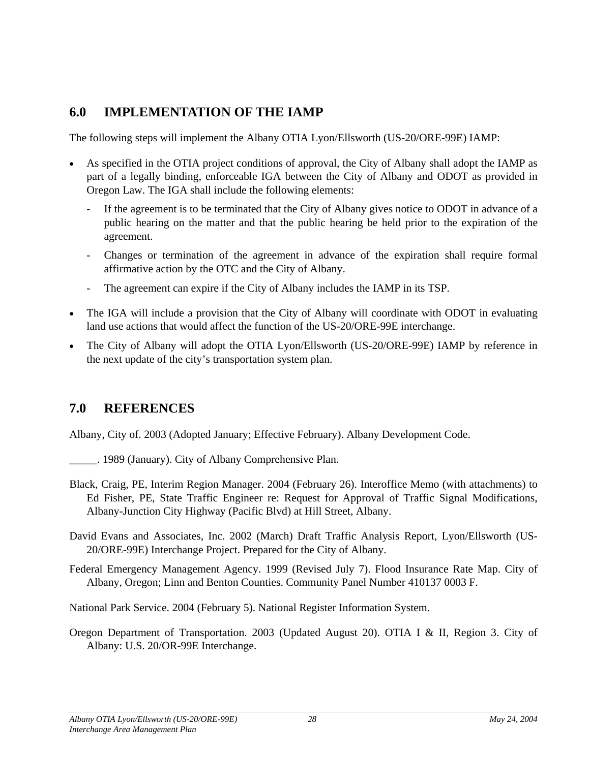# <span id="page-34-0"></span>**6.0 IMPLEMENTATION OF THE IAMP**

The following steps will implement the Albany OTIA Lyon/Ellsworth (US-20/ORE-99E) IAMP:

- As specified in the OTIA project conditions of approval, the City of Albany shall adopt the IAMP as part of a legally binding, enforceable IGA between the City of Albany and ODOT as provided in Oregon Law. The IGA shall include the following elements:
	- If the agreement is to be terminated that the City of Albany gives notice to ODOT in advance of a public hearing on the matter and that the public hearing be held prior to the expiration of the agreement.
	- Changes or termination of the agreement in advance of the expiration shall require formal affirmative action by the OTC and the City of Albany.
	- The agreement can expire if the City of Albany includes the IAMP in its TSP.
- The IGA will include a provision that the City of Albany will coordinate with ODOT in evaluating land use actions that would affect the function of the US-20/ORE-99E interchange.
- The City of Albany will adopt the OTIA Lyon/Ellsworth (US-20/ORE-99E) IAMP by reference in the next update of the city's transportation system plan.

# **7.0 REFERENCES**

Albany, City of. 2003 (Adopted January; Effective February). Albany Development Code.

- \_\_\_\_\_. 1989 (January). City of Albany Comprehensive Plan.
- Black, Craig, PE, Interim Region Manager. 2004 (February 26). Interoffice Memo (with attachments) to Ed Fisher, PE, State Traffic Engineer re: Request for Approval of Traffic Signal Modifications, Albany-Junction City Highway (Pacific Blvd) at Hill Street, Albany.
- David Evans and Associates, Inc. 2002 (March) Draft Traffic Analysis Report, Lyon/Ellsworth (US-20/ORE-99E) Interchange Project. Prepared for the City of Albany.
- Federal Emergency Management Agency. 1999 (Revised July 7). Flood Insurance Rate Map. City of Albany, Oregon; Linn and Benton Counties. Community Panel Number 410137 0003 F.

National Park Service. 2004 (February 5). National Register Information System.

Oregon Department of Transportation. 2003 (Updated August 20). OTIA I & II, Region 3. City of Albany: U.S. 20/OR-99E Interchange.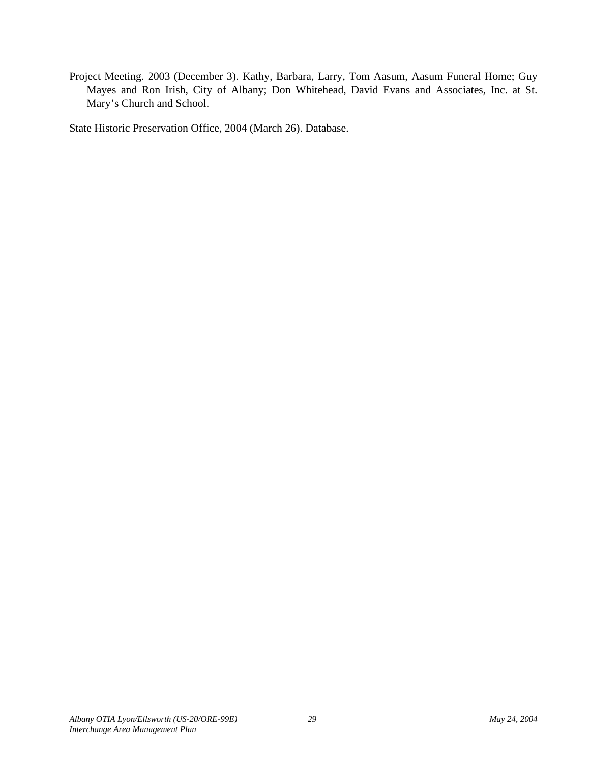Project Meeting. 2003 (December 3). Kathy, Barbara, Larry, Tom Aasum, Aasum Funeral Home; Guy Mayes and Ron Irish, City of Albany; Don Whitehead, David Evans and Associates, Inc. at St. Mary's Church and School.

State Historic Preservation Office, 2004 (March 26). Database.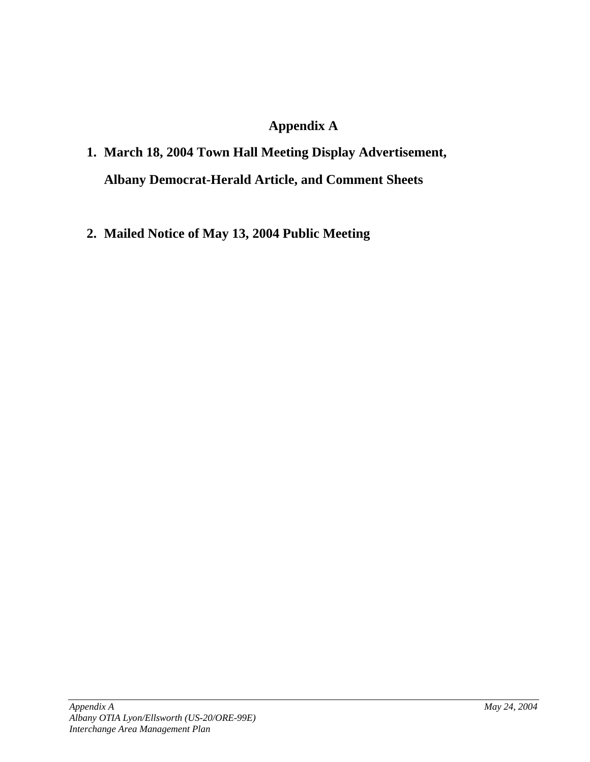# **Appendix A**

# **1. March 18, 2004 Town Hall Meeting Display Advertisement, Albany Democrat-Herald Article, and Comment Sheets**

**2. Mailed Notice of May 13, 2004 Public Meeting**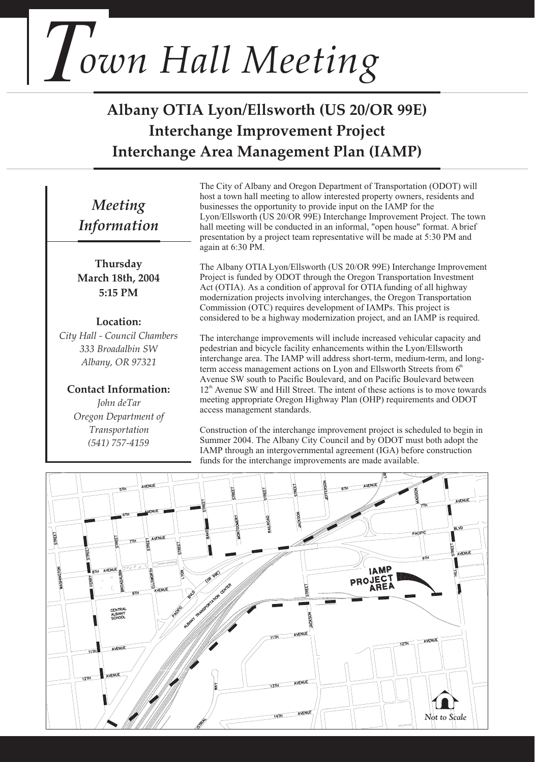# *Town Hall Meeting*

# **Albany OTIA Lyon/Ellsworth (US 20/OR 99E) Interchange Improvement Project Interchange Area Management Plan (IAMP)**

# *Meeting Information*

**Thursday March 18th, 2004 5:15 PM** 

#### **Location:**

*City Hall - Council Chambers 333 Broadalbin SW Albany, OR 97321*

**Contact Information:**  *John deTar Oregon Department of Transportation (541) 757-4159*

The City of Albany and Oregon Department of Transportation (ODOT) will host a town hall meeting to allow interested property owners, residents and businesses the opportunity to provide input on the IAMP for the Lyon/Ellsworth (US 20/OR 99E) Interchange Improvement Project. The town hall meeting will be conducted in an informal, "open house" format. A brief presentation by a project team representative will be made at 5:30 PM and again at 6:30 PM.

The Albany OTIA Lyon/Ellsworth (US 20/OR 99E) Interchange Improvement Project is funded by ODOT through the Oregon Transportation Investment Act (OTIA). As a condition of approval for OTIA funding of all highway modernization projects involving interchanges, the Oregon Transportation Commission (OTC) requires development of IAMPs. This project is considered to be a highway modernization project, and an IAMP is required.

The interchange improvements will include increased vehicular capacity and pedestrian and bicycle facility enhancements within the Lyon/Ellsworth interchange area. The IAMP will address short-term, medium-term, and longterm access management actions on Lyon and Ellsworth Streets from  $6<sup>th</sup>$ Avenue SW south to Pacific Boulevard, and on Pacific Boulevard between  $12<sup>th</sup>$  Avenue SW and Hill Street. The intent of these actions is to move towards meeting appropriate Oregon Highway Plan (OHP) requirements and ODOT access management standards.

Construction of the interchange improvement project is scheduled to begin in Summer 2004. The Albany City Council and by ODOT must both adopt the IAMP through an intergovernmental agreement (IGA) before construction funds for the interchange improvements are made available.

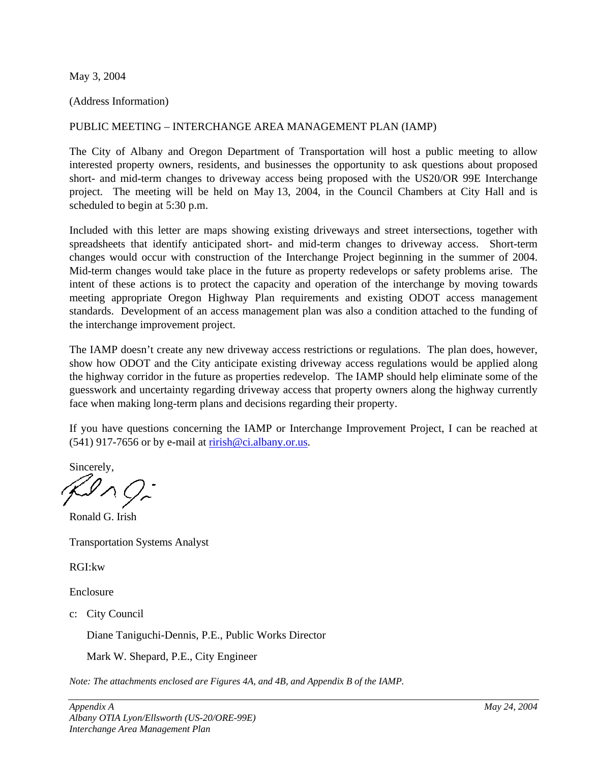May 3, 2004

(Address Information)

#### PUBLIC MEETING – INTERCHANGE AREA MANAGEMENT PLAN (IAMP)

The City of Albany and Oregon Department of Transportation will host a public meeting to allow interested property owners, residents, and businesses the opportunity to ask questions about proposed short- and mid-term changes to driveway access being proposed with the US20/OR 99E Interchange project. The meeting will be held on May 13, 2004, in the Council Chambers at City Hall and is scheduled to begin at 5:30 p.m.

Included with this letter are maps showing existing driveways and street intersections, together with spreadsheets that identify anticipated short- and mid-term changes to driveway access. Short-term changes would occur with construction of the Interchange Project beginning in the summer of 2004. Mid-term changes would take place in the future as property redevelops or safety problems arise. The intent of these actions is to protect the capacity and operation of the interchange by moving towards meeting appropriate Oregon Highway Plan requirements and existing ODOT access management standards. Development of an access management plan was also a condition attached to the funding of the interchange improvement project.

The IAMP doesn't create any new driveway access restrictions or regulations. The plan does, however, show how ODOT and the City anticipate existing driveway access regulations would be applied along the highway corridor in the future as properties redevelop. The IAMP should help eliminate some of the guesswork and uncertainty regarding driveway access that property owners along the highway currently face when making long-term plans and decisions regarding their property.

If you have questions concerning the IAMP or Interchange Improvement Project, I can be reached at  $(541)$  917-7656 or by e-mail at [rirish@ci.albany.or.us](mailto:rirish@ci.albany.or.us).

Sincerely,  $\mathcal{Q}_{\Lambda} \mathcal{Q}_{\tau}$ 

Ronald G. Irish

Transportation Systems Analyst

RGI:kw

Enclosure

c: City Council

Diane Taniguchi-Dennis, P.E., Public Works Director

Mark W. Shepard, P.E., City Engineer

*Note: The attachments enclosed are Figures 4A, and 4B, and Appendix B of the IAMP.*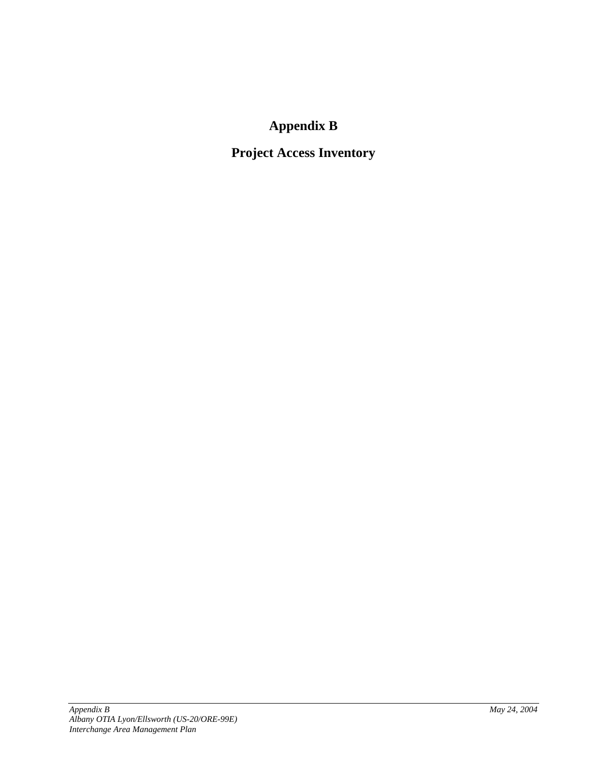# **Appendix B**

# **Project Access Inventory**